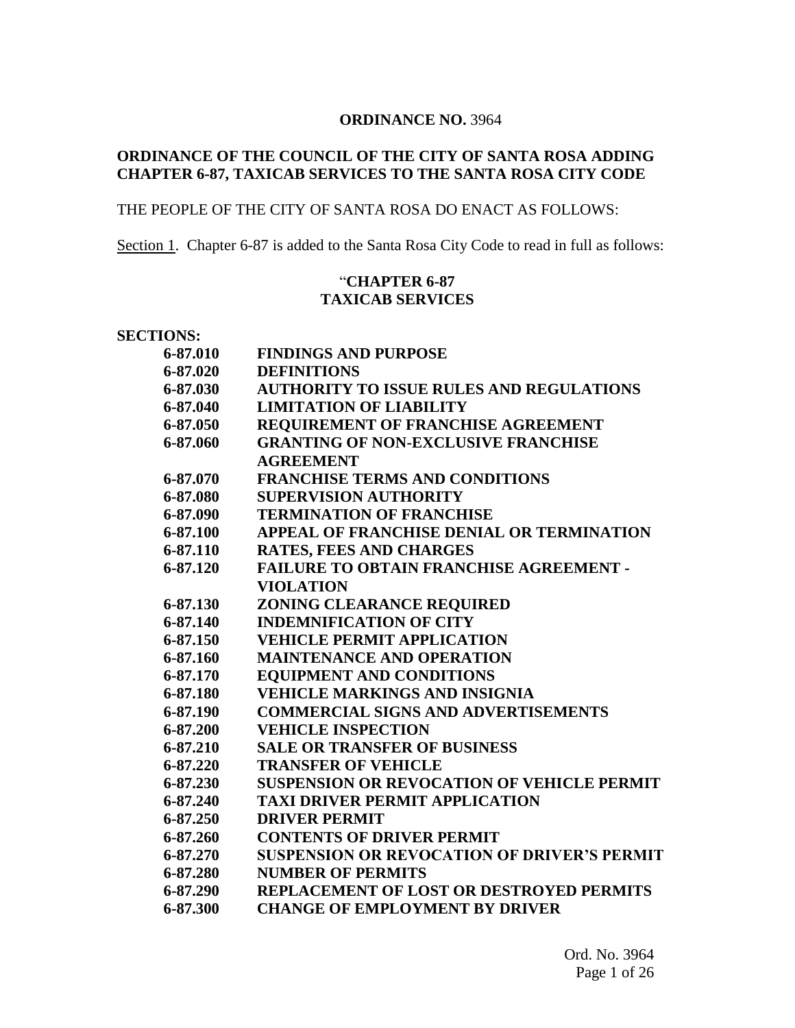#### **ORDINANCE NO.** 3964

# **ORDINANCE OF THE COUNCIL OF THE CITY OF SANTA ROSA ADDING CHAPTER 6-87, TAXICAB SERVICES TO THE SANTA ROSA CITY CODE**

# THE PEOPLE OF THE CITY OF SANTA ROSA DO ENACT AS FOLLOWS:

Section 1. Chapter 6-87 is added to the Santa Rosa City Code to read in full as follows:

# "**CHAPTER 6-87 TAXICAB SERVICES**

| <b>SECTIONS:</b> |                                                    |
|------------------|----------------------------------------------------|
| 6-87.010         | <b>FINDINGS AND PURPOSE</b>                        |
| 6-87.020         | <b>DEFINITIONS</b>                                 |
| 6-87.030         | <b>AUTHORITY TO ISSUE RULES AND REGULATIONS</b>    |
| 6-87.040         | <b>LIMITATION OF LIABILITY</b>                     |
| 6-87.050         | <b>REQUIREMENT OF FRANCHISE AGREEMENT</b>          |
| 6-87.060         | <b>GRANTING OF NON-EXCLUSIVE FRANCHISE</b>         |
|                  | <b>AGREEMENT</b>                                   |
| 6-87.070         | <b>FRANCHISE TERMS AND CONDITIONS</b>              |
| 6-87.080         | <b>SUPERVISION AUTHORITY</b>                       |
| 6-87.090         | <b>TERMINATION OF FRANCHISE</b>                    |
| 6-87.100         | APPEAL OF FRANCHISE DENIAL OR TERMINATION          |
| 6-87.110         | <b>RATES, FEES AND CHARGES</b>                     |
| 6-87.120         | <b>FAILURE TO OBTAIN FRANCHISE AGREEMENT -</b>     |
|                  | <b>VIOLATION</b>                                   |
| 6-87.130         | ZONING CLEARANCE REQUIRED                          |
| 6-87.140         | <b>INDEMNIFICATION OF CITY</b>                     |
| 6-87.150         | <b>VEHICLE PERMIT APPLICATION</b>                  |
| 6-87.160         | <b>MAINTENANCE AND OPERATION</b>                   |
| 6-87.170         | <b>EQUIPMENT AND CONDITIONS</b>                    |
| 6-87.180         | <b>VEHICLE MARKINGS AND INSIGNIA</b>               |
| 6-87.190         | <b>COMMERCIAL SIGNS AND ADVERTISEMENTS</b>         |
| 6-87.200         | <b>VEHICLE INSPECTION</b>                          |
| 6-87.210         | <b>SALE OR TRANSFER OF BUSINESS</b>                |
| 6-87.220         | <b>TRANSFER OF VEHICLE</b>                         |
| 6-87.230         | <b>SUSPENSION OR REVOCATION OF VEHICLE PERMIT</b>  |
| 6-87.240         | <b>TAXI DRIVER PERMIT APPLICATION</b>              |
| 6-87.250         | <b>DRIVER PERMIT</b>                               |
| 6-87.260         | <b>CONTENTS OF DRIVER PERMIT</b>                   |
| 6-87.270         | <b>SUSPENSION OR REVOCATION OF DRIVER'S PERMIT</b> |
| 6-87.280         | <b>NUMBER OF PERMITS</b>                           |
| 6-87.290         | <b>REPLACEMENT OF LOST OR DESTROYED PERMITS</b>    |
| 6-87.300         | <b>CHANGE OF EMPLOYMENT BY DRIVER</b>              |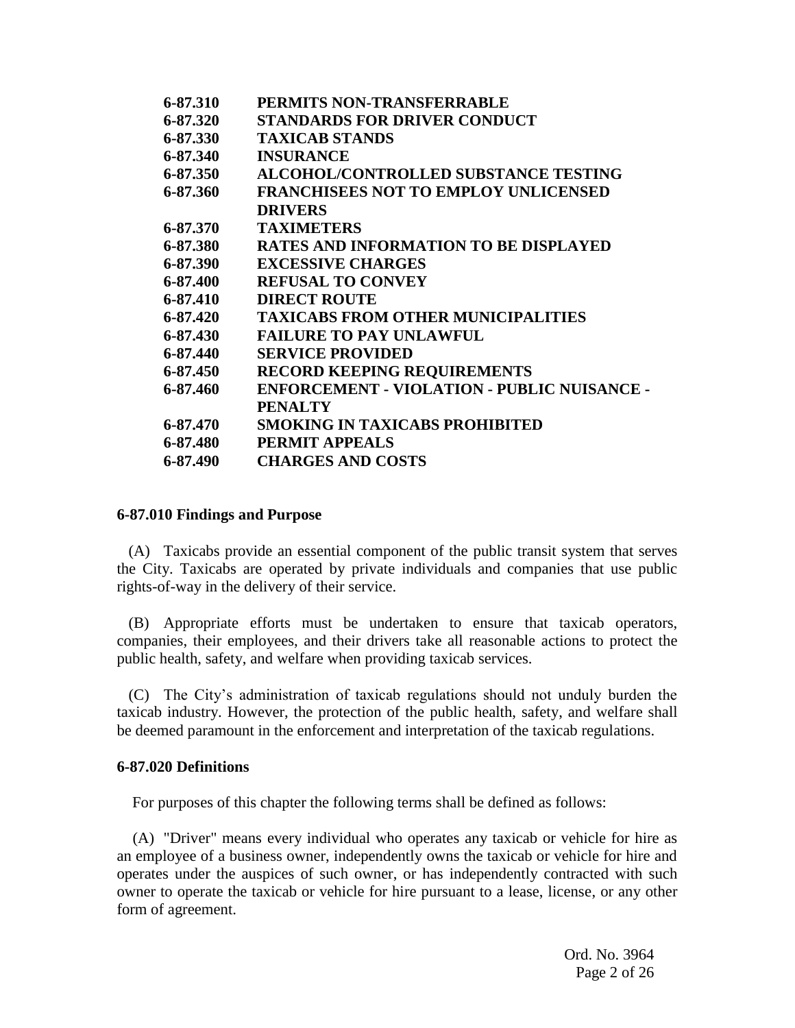| 6-87.310 | PERMITS NON-TRANSFERRABLE                          |
|----------|----------------------------------------------------|
| 6-87.320 | <b>STANDARDS FOR DRIVER CONDUCT</b>                |
| 6-87.330 | <b>TAXICAB STANDS</b>                              |
| 6-87.340 | <b>INSURANCE</b>                                   |
| 6-87.350 | <b>ALCOHOL/CONTROLLED SUBSTANCE TESTING</b>        |
| 6-87.360 | <b>FRANCHISEES NOT TO EMPLOY UNLICENSED</b>        |
|          | <b>DRIVERS</b>                                     |
| 6-87.370 | <b>TAXIMETERS</b>                                  |
| 6-87.380 | <b>RATES AND INFORMATION TO BE DISPLAYED</b>       |
| 6-87.390 | <b>EXCESSIVE CHARGES</b>                           |
| 6-87.400 | <b>REFUSAL TO CONVEY</b>                           |
| 6-87.410 | <b>DIRECT ROUTE</b>                                |
| 6-87.420 | <b>TAXICABS FROM OTHER MUNICIPALITIES</b>          |
| 6-87.430 | <b>FAILURE TO PAY UNLAWFUL</b>                     |
| 6-87.440 | <b>SERVICE PROVIDED</b>                            |
| 6-87.450 | <b>RECORD KEEPING REQUIREMENTS</b>                 |
| 6-87.460 | <b>ENFORCEMENT - VIOLATION - PUBLIC NUISANCE -</b> |
|          | <b>PENALTY</b>                                     |
| 6-87.470 | <b>SMOKING IN TAXICABS PROHIBITED</b>              |
| 6-87.480 | <b>PERMIT APPEALS</b>                              |
| 6-87.490 | <b>CHARGES AND COSTS</b>                           |
|          |                                                    |

#### **6-87.010 Findings and Purpose**

 (A) Taxicabs provide an essential component of the public transit system that serves the City. Taxicabs are operated by private individuals and companies that use public rights-of-way in the delivery of their service.

 (B) Appropriate efforts must be undertaken to ensure that taxicab operators, companies, their employees, and their drivers take all reasonable actions to protect the public health, safety, and welfare when providing taxicab services.

 (C) The City's administration of taxicab regulations should not unduly burden the taxicab industry. However, the protection of the public health, safety, and welfare shall be deemed paramount in the enforcement and interpretation of the taxicab regulations.

## **6-87.020 Definitions**

For purposes of this chapter the following terms shall be defined as follows:

(A) "Driver" means every individual who operates any taxicab or vehicle for hire as an employee of a business owner, independently owns the taxicab or vehicle for hire and operates under the auspices of such owner, or has independently contracted with such owner to operate the taxicab or vehicle for hire pursuant to a lease, license, or any other form of agreement.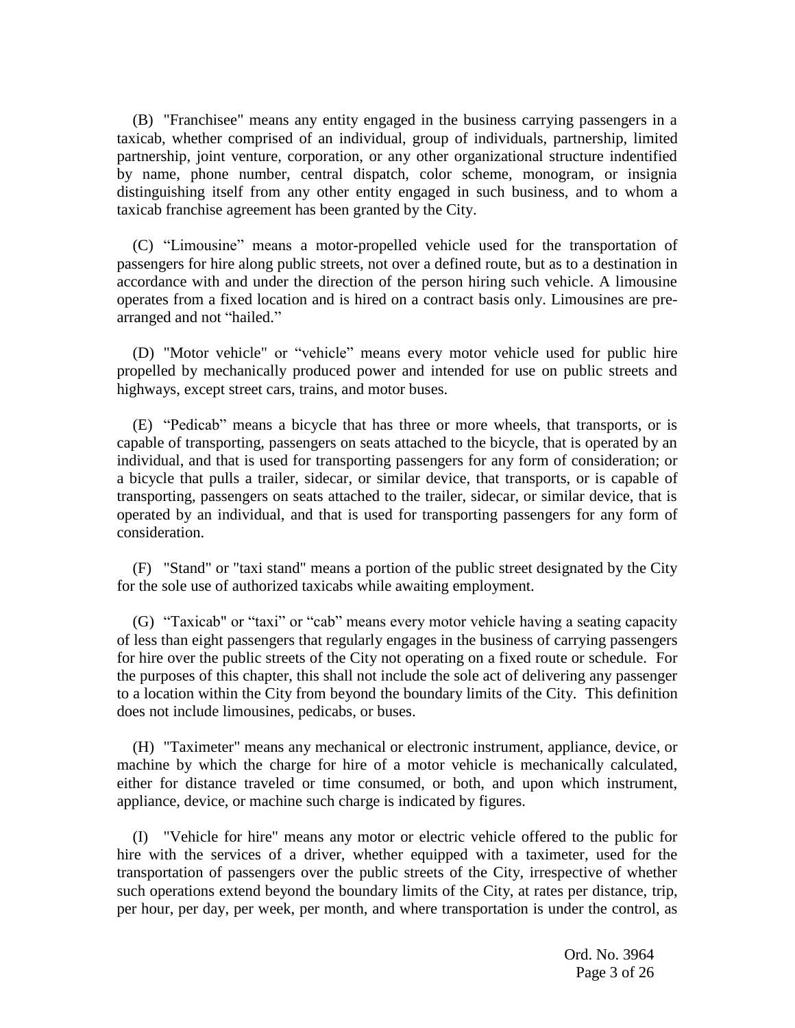(B) "Franchisee" means any entity engaged in the business carrying passengers in a taxicab, whether comprised of an individual, group of individuals, partnership, limited partnership, joint venture, corporation, or any other organizational structure indentified by name, phone number, central dispatch, color scheme, monogram, or insignia distinguishing itself from any other entity engaged in such business, and to whom a taxicab franchise agreement has been granted by the City.

(C) "Limousine" means a motor-propelled vehicle used for the transportation of passengers for hire along public streets, not over a defined route, but as to a destination in accordance with and under the direction of the person hiring such vehicle. A limousine operates from a fixed location and is hired on a contract basis only. Limousines are prearranged and not "hailed."

(D) "Motor vehicle" or "vehicle" means every motor vehicle used for public hire propelled by mechanically produced power and intended for use on public streets and highways, except street cars, trains, and motor buses.

(E) "Pedicab" means a bicycle that has three or more wheels, that transports, or is capable of transporting, passengers on seats attached to the bicycle, that is operated by an individual, and that is used for transporting passengers for any form of consideration; or a bicycle that pulls a trailer, sidecar, or similar device, that transports, or is capable of transporting, passengers on seats attached to the trailer, sidecar, or similar device, that is operated by an individual, and that is used for transporting passengers for any form of consideration.

(F) "Stand" or "taxi stand" means a portion of the public street designated by the City for the sole use of authorized taxicabs while awaiting employment.

(G) "Taxicab" or "taxi" or "cab" means every motor vehicle having a seating capacity of less than eight passengers that regularly engages in the business of carrying passengers for hire over the public streets of the City not operating on a fixed route or schedule. For the purposes of this chapter, this shall not include the sole act of delivering any passenger to a location within the City from beyond the boundary limits of the City. This definition does not include limousines, pedicabs, or buses.

(H) "Taximeter" means any mechanical or electronic instrument, appliance, device, or machine by which the charge for hire of a motor vehicle is mechanically calculated, either for distance traveled or time consumed, or both, and upon which instrument, appliance, device, or machine such charge is indicated by figures.

(I) "Vehicle for hire" means any motor or electric vehicle offered to the public for hire with the services of a driver, whether equipped with a taximeter, used for the transportation of passengers over the public streets of the City, irrespective of whether such operations extend beyond the boundary limits of the City, at rates per distance, trip, per hour, per day, per week, per month, and where transportation is under the control, as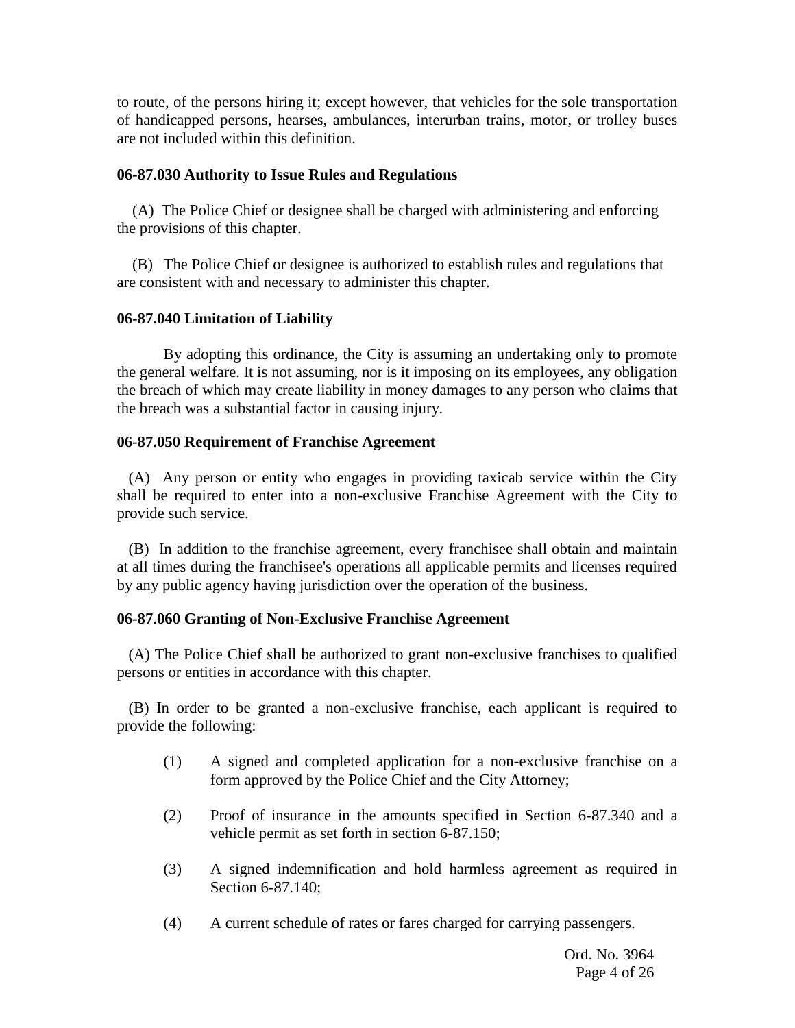to route, of the persons hiring it; except however, that vehicles for the sole transportation of handicapped persons, hearses, ambulances, interurban trains, motor, or trolley buses are not included within this definition.

## **06-87.030 Authority to Issue Rules and Regulations**

 (A) The Police Chief or designee shall be charged with administering and enforcing the provisions of this chapter.

 (B) The Police Chief or designee is authorized to establish rules and regulations that are consistent with and necessary to administer this chapter.

## **06-87.040 Limitation of Liability**

By adopting this ordinance, the City is assuming an undertaking only to promote the general welfare. It is not assuming, nor is it imposing on its employees, any obligation the breach of which may create liability in money damages to any person who claims that the breach was a substantial factor in causing injury.

## **06-87.050 Requirement of Franchise Agreement**

(A) Any person or entity who engages in providing taxicab service within the City shall be required to enter into a non-exclusive Franchise Agreement with the City to provide such service.

(B) In addition to the franchise agreement, every franchisee shall obtain and maintain at all times during the franchisee's operations all applicable permits and licenses required by any public agency having jurisdiction over the operation of the business.

## **06-87.060 Granting of Non-Exclusive Franchise Agreement**

(A) The Police Chief shall be authorized to grant non-exclusive franchises to qualified persons or entities in accordance with this chapter.

(B) In order to be granted a non-exclusive franchise, each applicant is required to provide the following:

- (1) A signed and completed application for a non-exclusive franchise on a form approved by the Police Chief and the City Attorney;
- (2) Proof of insurance in the amounts specified in Section 6-87.340 and a vehicle permit as set forth in section 6-87.150;
- (3) A signed indemnification and hold harmless agreement as required in Section 6-87.140;
- (4) A current schedule of rates or fares charged for carrying passengers.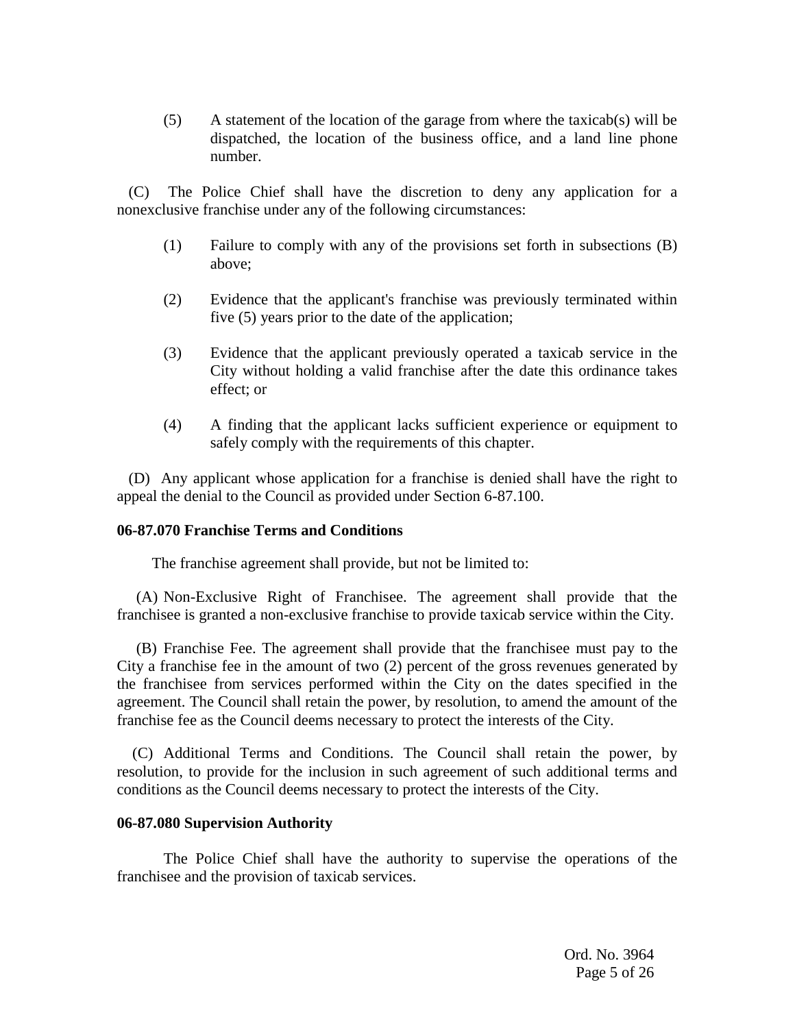(5) A statement of the location of the garage from where the taxicab(s) will be dispatched, the location of the business office, and a land line phone number.

(C) The Police Chief shall have the discretion to deny any application for a nonexclusive franchise under any of the following circumstances:

- (1) Failure to comply with any of the provisions set forth in subsections (B) above;
- (2) Evidence that the applicant's franchise was previously terminated within five (5) years prior to the date of the application;
- (3) Evidence that the applicant previously operated a taxicab service in the City without holding a valid franchise after the date this ordinance takes effect; or
- (4) A finding that the applicant lacks sufficient experience or equipment to safely comply with the requirements of this chapter.

(D) Any applicant whose application for a franchise is denied shall have the right to appeal the denial to the Council as provided under Section 6-87.100.

## **06-87.070 Franchise Terms and Conditions**

The franchise agreement shall provide, but not be limited to:

 (A) Non-Exclusive Right of Franchisee. The agreement shall provide that the franchisee is granted a non-exclusive franchise to provide taxicab service within the City.

 (B) Franchise Fee. The agreement shall provide that the franchisee must pay to the City a franchise fee in the amount of two (2) percent of the gross revenues generated by the franchisee from services performed within the City on the dates specified in the agreement. The Council shall retain the power, by resolution, to amend the amount of the franchise fee as the Council deems necessary to protect the interests of the City.

 (C) Additional Terms and Conditions. The Council shall retain the power, by resolution, to provide for the inclusion in such agreement of such additional terms and conditions as the Council deems necessary to protect the interests of the City.

#### **06-87.080 Supervision Authority**

The Police Chief shall have the authority to supervise the operations of the franchisee and the provision of taxicab services.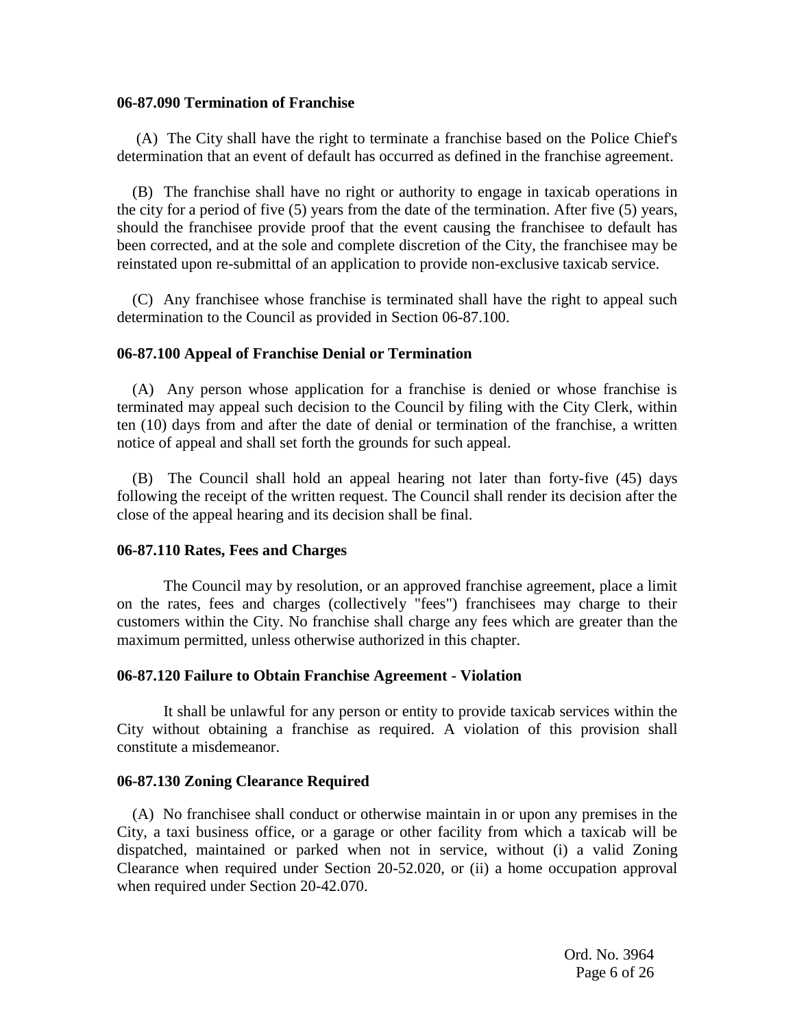#### **06-87.090 Termination of Franchise**

 (A) The City shall have the right to terminate a franchise based on the Police Chief's determination that an event of default has occurred as defined in the franchise agreement.

 (B) The franchise shall have no right or authority to engage in taxicab operations in the city for a period of five (5) years from the date of the termination. After five (5) years, should the franchisee provide proof that the event causing the franchisee to default has been corrected, and at the sole and complete discretion of the City, the franchisee may be reinstated upon re-submittal of an application to provide non-exclusive taxicab service.

 (C) Any franchisee whose franchise is terminated shall have the right to appeal such determination to the Council as provided in Section 06-87.100.

## **06-87.100 Appeal of Franchise Denial or Termination**

 (A) Any person whose application for a franchise is denied or whose franchise is terminated may appeal such decision to the Council by filing with the City Clerk, within ten (10) days from and after the date of denial or termination of the franchise, a written notice of appeal and shall set forth the grounds for such appeal.

 (B) The Council shall hold an appeal hearing not later than forty-five (45) days following the receipt of the written request. The Council shall render its decision after the close of the appeal hearing and its decision shall be final.

## **06-87.110 Rates, Fees and Charges**

The Council may by resolution, or an approved franchise agreement, place a limit on the rates, fees and charges (collectively "fees") franchisees may charge to their customers within the City. No franchise shall charge any fees which are greater than the maximum permitted, unless otherwise authorized in this chapter.

## **06-87.120 Failure to Obtain Franchise Agreement - Violation**

It shall be unlawful for any person or entity to provide taxicab services within the City without obtaining a franchise as required. A violation of this provision shall constitute a misdemeanor.

## **06-87.130 Zoning Clearance Required**

 (A) No franchisee shall conduct or otherwise maintain in or upon any premises in the City, a taxi business office, or a garage or other facility from which a taxicab will be dispatched, maintained or parked when not in service, without (i) a valid Zoning Clearance when required under Section 20-52.020, or (ii) a home occupation approval when required under Section 20-42.070.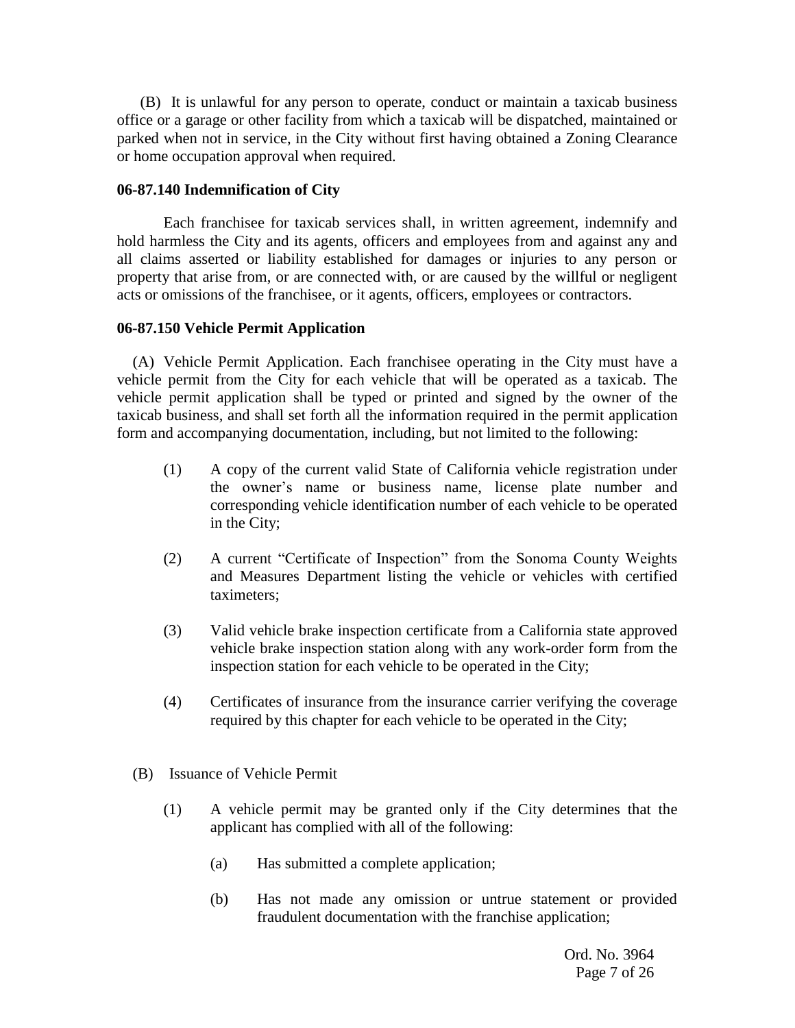(B) It is unlawful for any person to operate, conduct or maintain a taxicab business office or a garage or other facility from which a taxicab will be dispatched, maintained or parked when not in service, in the City without first having obtained a Zoning Clearance or home occupation approval when required.

## **06-87.140 Indemnification of City**

Each franchisee for taxicab services shall, in written agreement, indemnify and hold harmless the City and its agents, officers and employees from and against any and all claims asserted or liability established for damages or injuries to any person or property that arise from, or are connected with, or are caused by the willful or negligent acts or omissions of the franchisee, or it agents, officers, employees or contractors.

## **06-87.150 Vehicle Permit Application**

(A) Vehicle Permit Application. Each franchisee operating in the City must have a vehicle permit from the City for each vehicle that will be operated as a taxicab. The vehicle permit application shall be typed or printed and signed by the owner of the taxicab business, and shall set forth all the information required in the permit application form and accompanying documentation, including, but not limited to the following:

- (1) A copy of the current valid State of California vehicle registration under the owner's name or business name, license plate number and corresponding vehicle identification number of each vehicle to be operated in the City;
- (2) A current "Certificate of Inspection" from the Sonoma County Weights and Measures Department listing the vehicle or vehicles with certified taximeters;
- (3) Valid vehicle brake inspection certificate from a California state approved vehicle brake inspection station along with any work-order form from the inspection station for each vehicle to be operated in the City;
- (4) Certificates of insurance from the insurance carrier verifying the coverage required by this chapter for each vehicle to be operated in the City;
- (B) Issuance of Vehicle Permit
	- (1) A vehicle permit may be granted only if the City determines that the applicant has complied with all of the following:
		- (a) Has submitted a complete application;
		- (b) Has not made any omission or untrue statement or provided fraudulent documentation with the franchise application;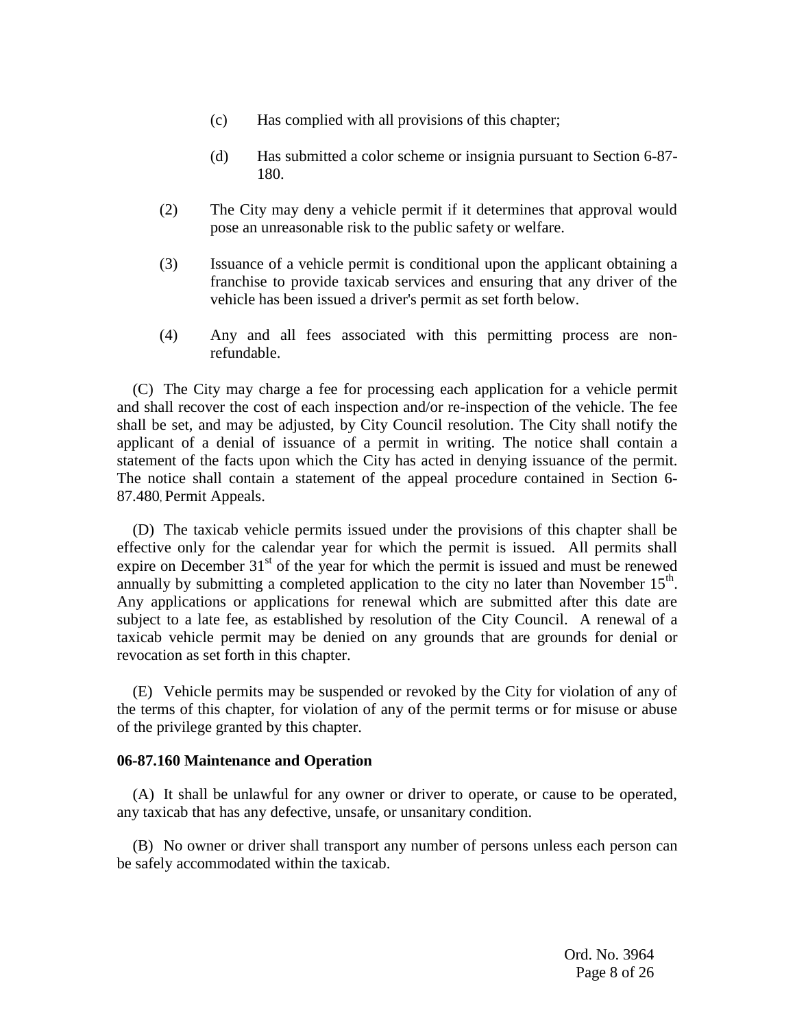- (c) Has complied with all provisions of this chapter;
- (d) Has submitted a color scheme or insignia pursuant to Section 6-87- 180.
- (2) The City may deny a vehicle permit if it determines that approval would pose an unreasonable risk to the public safety or welfare.
- (3) Issuance of a vehicle permit is conditional upon the applicant obtaining a franchise to provide taxicab services and ensuring that any driver of the vehicle has been issued a driver's permit as set forth below.
- (4) Any and all fees associated with this permitting process are nonrefundable.

(C) The City may charge a fee for processing each application for a vehicle permit and shall recover the cost of each inspection and/or re-inspection of the vehicle. The fee shall be set, and may be adjusted, by City Council resolution. The City shall notify the applicant of a denial of issuance of a permit in writing. The notice shall contain a statement of the facts upon which the City has acted in denying issuance of the permit. The notice shall contain a statement of the appeal procedure contained in Section 6- 87.480, Permit Appeals.

(D) The taxicab vehicle permits issued under the provisions of this chapter shall be effective only for the calendar year for which the permit is issued. All permits shall expire on December  $31<sup>st</sup>$  of the year for which the permit is issued and must be renewed annually by submitting a completed application to the city no later than November  $15<sup>th</sup>$ . Any applications or applications for renewal which are submitted after this date are subject to a late fee, as established by resolution of the City Council. A renewal of a taxicab vehicle permit may be denied on any grounds that are grounds for denial or revocation as set forth in this chapter.

(E) Vehicle permits may be suspended or revoked by the City for violation of any of the terms of this chapter, for violation of any of the permit terms or for misuse or abuse of the privilege granted by this chapter.

#### **06-87.160 Maintenance and Operation**

(A) It shall be unlawful for any owner or driver to operate, or cause to be operated, any taxicab that has any defective, unsafe, or unsanitary condition.

(B) No owner or driver shall transport any number of persons unless each person can be safely accommodated within the taxicab.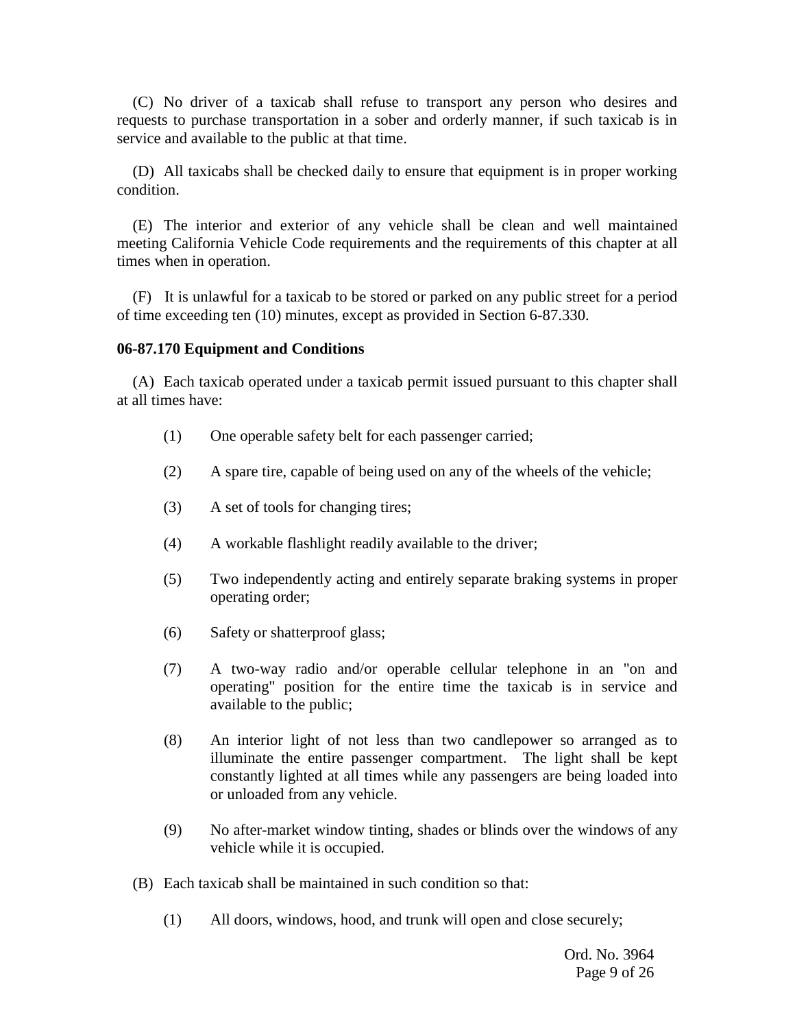(C) No driver of a taxicab shall refuse to transport any person who desires and requests to purchase transportation in a sober and orderly manner, if such taxicab is in service and available to the public at that time.

(D) All taxicabs shall be checked daily to ensure that equipment is in proper working condition.

(E) The interior and exterior of any vehicle shall be clean and well maintained meeting California Vehicle Code requirements and the requirements of this chapter at all times when in operation.

(F) It is unlawful for a taxicab to be stored or parked on any public street for a period of time exceeding ten (10) minutes, except as provided in Section 6-87.330.

## **06-87.170 Equipment and Conditions**

(A) Each taxicab operated under a taxicab permit issued pursuant to this chapter shall at all times have:

- (1) One operable safety belt for each passenger carried;
- (2) A spare tire, capable of being used on any of the wheels of the vehicle;
- (3) A set of tools for changing tires;
- (4) A workable flashlight readily available to the driver;
- (5) Two independently acting and entirely separate braking systems in proper operating order;
- (6) Safety or shatterproof glass;
- (7) A two-way radio and/or operable cellular telephone in an "on and operating" position for the entire time the taxicab is in service and available to the public;
- (8) An interior light of not less than two candlepower so arranged as to illuminate the entire passenger compartment. The light shall be kept constantly lighted at all times while any passengers are being loaded into or unloaded from any vehicle.
- (9) No after-market window tinting, shades or blinds over the windows of any vehicle while it is occupied.
- (B) Each taxicab shall be maintained in such condition so that:
	- (1) All doors, windows, hood, and trunk will open and close securely;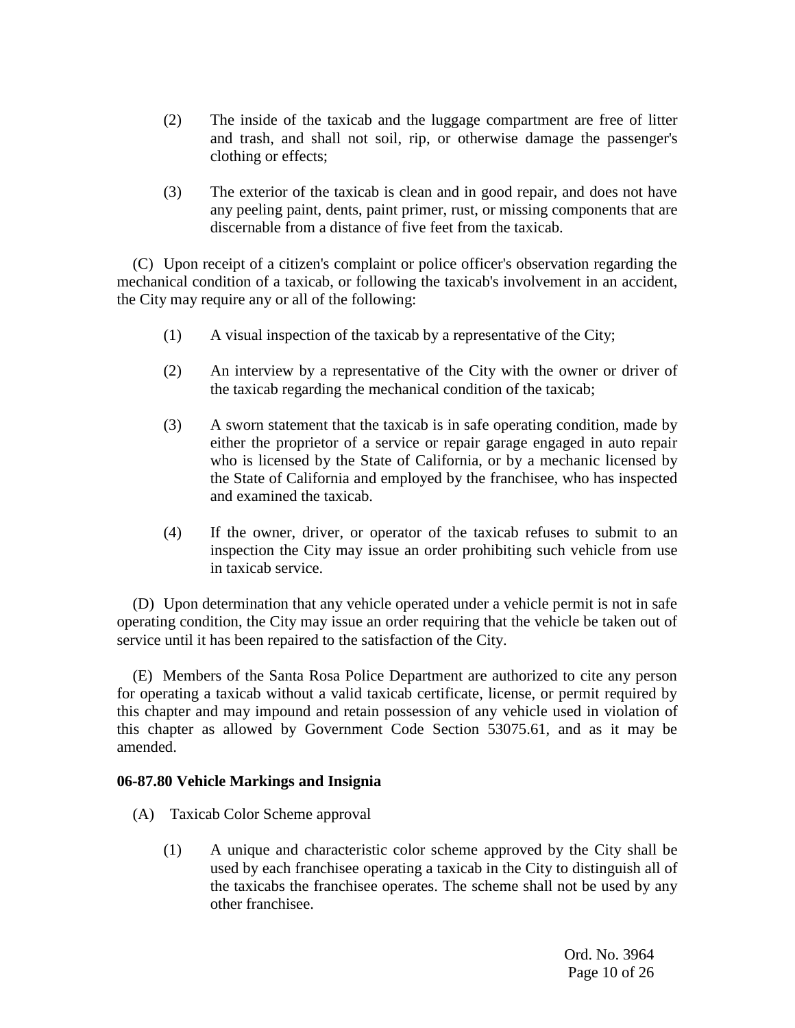- (2) The inside of the taxicab and the luggage compartment are free of litter and trash, and shall not soil, rip, or otherwise damage the passenger's clothing or effects;
- (3) The exterior of the taxicab is clean and in good repair, and does not have any peeling paint, dents, paint primer, rust, or missing components that are discernable from a distance of five feet from the taxicab.

(C) Upon receipt of a citizen's complaint or police officer's observation regarding the mechanical condition of a taxicab, or following the taxicab's involvement in an accident, the City may require any or all of the following:

- (1) A visual inspection of the taxicab by a representative of the City;
- (2) An interview by a representative of the City with the owner or driver of the taxicab regarding the mechanical condition of the taxicab;
- (3) A sworn statement that the taxicab is in safe operating condition, made by either the proprietor of a service or repair garage engaged in auto repair who is licensed by the State of California, or by a mechanic licensed by the State of California and employed by the franchisee, who has inspected and examined the taxicab.
- (4) If the owner, driver, or operator of the taxicab refuses to submit to an inspection the City may issue an order prohibiting such vehicle from use in taxicab service.

(D) Upon determination that any vehicle operated under a vehicle permit is not in safe operating condition, the City may issue an order requiring that the vehicle be taken out of service until it has been repaired to the satisfaction of the City.

(E) Members of the Santa Rosa Police Department are authorized to cite any person for operating a taxicab without a valid taxicab certificate, license, or permit required by this chapter and may impound and retain possession of any vehicle used in violation of this chapter as allowed by Government Code Section 53075.61, and as it may be amended.

## **06-87.80 Vehicle Markings and Insignia**

- (A) Taxicab Color Scheme approval
	- (1) A unique and characteristic color scheme approved by the City shall be used by each franchisee operating a taxicab in the City to distinguish all of the taxicabs the franchisee operates. The scheme shall not be used by any other franchisee.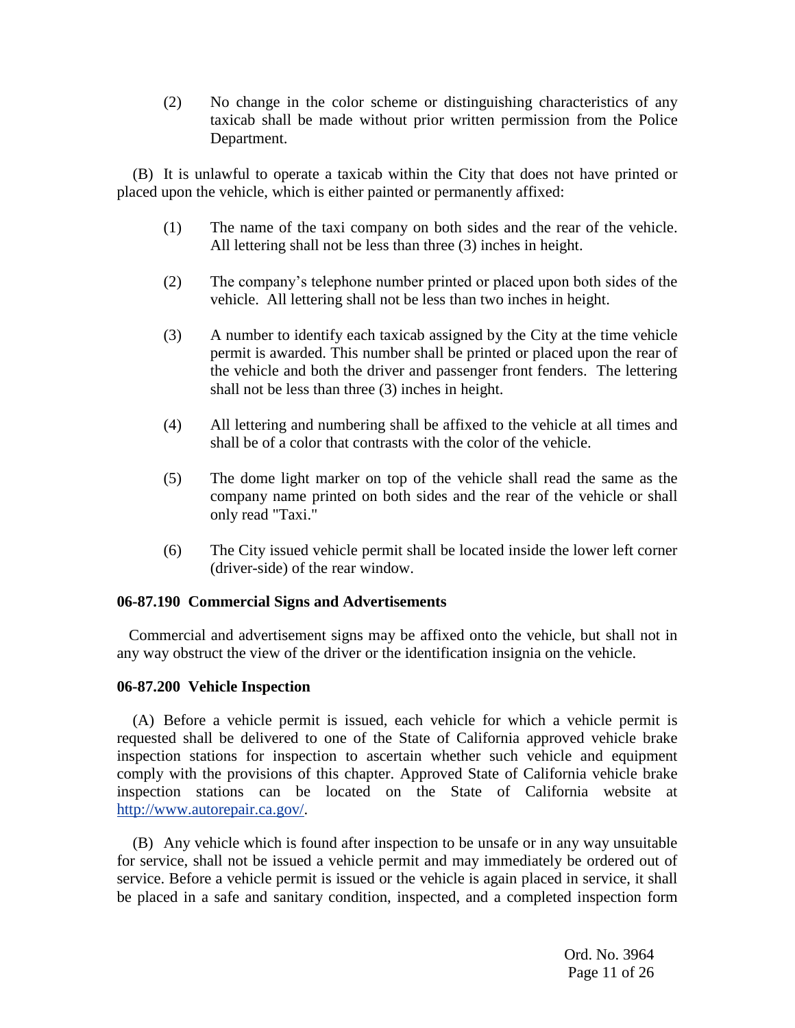(2) No change in the color scheme or distinguishing characteristics of any taxicab shall be made without prior written permission from the Police Department.

(B) It is unlawful to operate a taxicab within the City that does not have printed or placed upon the vehicle, which is either painted or permanently affixed:

- (1) The name of the taxi company on both sides and the rear of the vehicle. All lettering shall not be less than three (3) inches in height.
- (2) The company's telephone number printed or placed upon both sides of the vehicle. All lettering shall not be less than two inches in height.
- (3) A number to identify each taxicab assigned by the City at the time vehicle permit is awarded. This number shall be printed or placed upon the rear of the vehicle and both the driver and passenger front fenders. The lettering shall not be less than three (3) inches in height.
- (4) All lettering and numbering shall be affixed to the vehicle at all times and shall be of a color that contrasts with the color of the vehicle.
- (5) The dome light marker on top of the vehicle shall read the same as the company name printed on both sides and the rear of the vehicle or shall only read "Taxi."
- (6) The City issued vehicle permit shall be located inside the lower left corner (driver-side) of the rear window.

## **06-87.190 Commercial Signs and Advertisements**

Commercial and advertisement signs may be affixed onto the vehicle, but shall not in any way obstruct the view of the driver or the identification insignia on the vehicle.

## **06-87.200 Vehicle Inspection**

(A) Before a vehicle permit is issued, each vehicle for which a vehicle permit is requested shall be delivered to one of the State of California approved vehicle brake inspection stations for inspection to ascertain whether such vehicle and equipment comply with the provisions of this chapter. Approved State of California vehicle brake inspection stations can be located on the State of California website at [http://www.autorepair.ca.gov/.](http://www.autorepair.ca.gov/)

(B) Any vehicle which is found after inspection to be unsafe or in any way unsuitable for service, shall not be issued a vehicle permit and may immediately be ordered out of service. Before a vehicle permit is issued or the vehicle is again placed in service, it shall be placed in a safe and sanitary condition, inspected, and a completed inspection form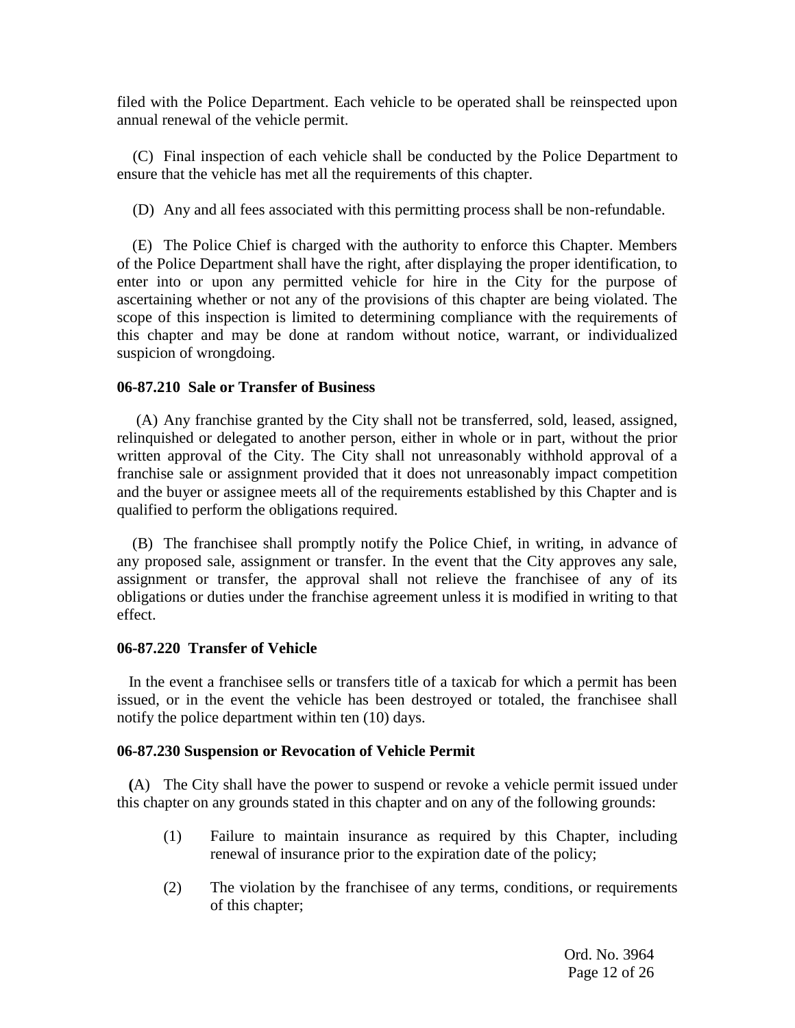filed with the Police Department. Each vehicle to be operated shall be reinspected upon annual renewal of the vehicle permit.

(C) Final inspection of each vehicle shall be conducted by the Police Department to ensure that the vehicle has met all the requirements of this chapter.

(D) Any and all fees associated with this permitting process shall be non-refundable.

(E) The Police Chief is charged with the authority to enforce this Chapter. Members of the Police Department shall have the right, after displaying the proper identification, to enter into or upon any permitted vehicle for hire in the City for the purpose of ascertaining whether or not any of the provisions of this chapter are being violated. The scope of this inspection is limited to determining compliance with the requirements of this chapter and may be done at random without notice, warrant, or individualized suspicion of wrongdoing.

## **06-87.210 Sale or Transfer of Business**

(A) Any franchise granted by the City shall not be transferred, sold, leased, assigned, relinquished or delegated to another person, either in whole or in part, without the prior written approval of the City. The City shall not unreasonably withhold approval of a franchise sale or assignment provided that it does not unreasonably impact competition and the buyer or assignee meets all of the requirements established by this Chapter and is qualified to perform the obligations required.

 (B) The franchisee shall promptly notify the Police Chief, in writing, in advance of any proposed sale, assignment or transfer. In the event that the City approves any sale, assignment or transfer, the approval shall not relieve the franchisee of any of its obligations or duties under the franchise agreement unless it is modified in writing to that effect.

## **06-87.220 Transfer of Vehicle**

 In the event a franchisee sells or transfers title of a taxicab for which a permit has been issued, or in the event the vehicle has been destroyed or totaled, the franchisee shall notify the police department within ten (10) days.

## **06-87.230 Suspension or Revocation of Vehicle Permit**

 **(**A) The City shall have the power to suspend or revoke a vehicle permit issued under this chapter on any grounds stated in this chapter and on any of the following grounds:

- (1) Failure to maintain insurance as required by this Chapter, including renewal of insurance prior to the expiration date of the policy;
- (2) The violation by the franchisee of any terms, conditions, or requirements of this chapter;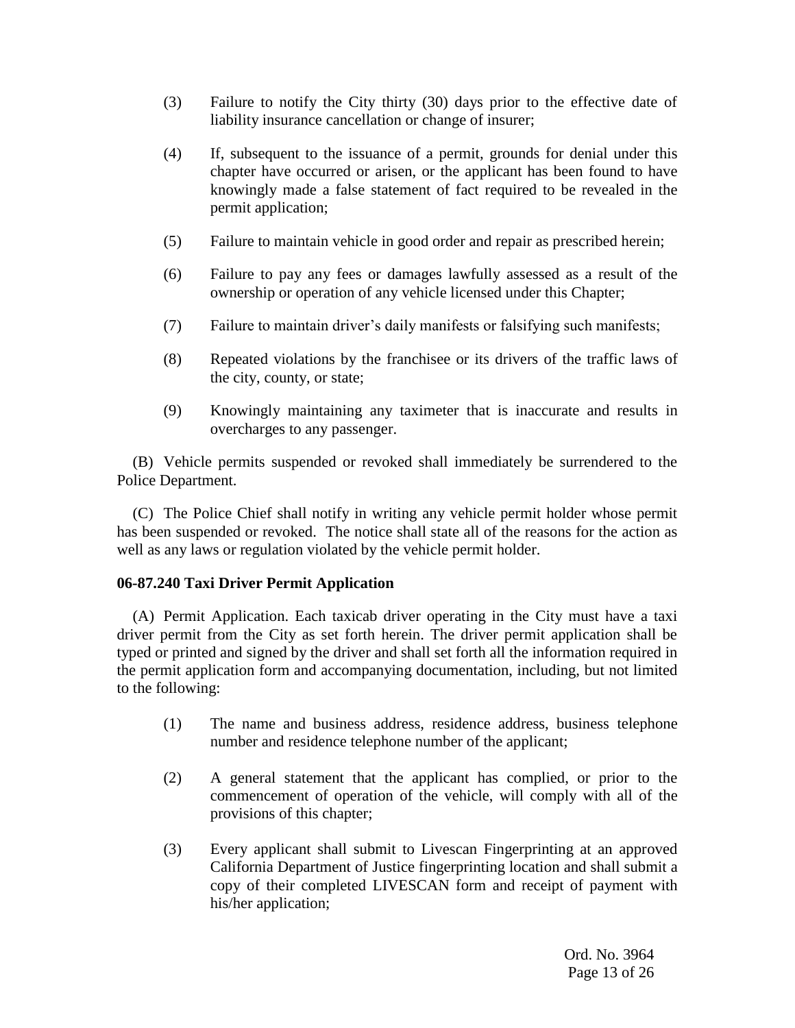- (3) Failure to notify the City thirty (30) days prior to the effective date of liability insurance cancellation or change of insurer;
- (4) If, subsequent to the issuance of a permit, grounds for denial under this chapter have occurred or arisen, or the applicant has been found to have knowingly made a false statement of fact required to be revealed in the permit application;
- (5) Failure to maintain vehicle in good order and repair as prescribed herein;
- (6) Failure to pay any fees or damages lawfully assessed as a result of the ownership or operation of any vehicle licensed under this Chapter;
- (7) Failure to maintain driver's daily manifests or falsifying such manifests;
- (8) Repeated violations by the franchisee or its drivers of the traffic laws of the city, county, or state;
- (9) Knowingly maintaining any taximeter that is inaccurate and results in overcharges to any passenger.

(B) Vehicle permits suspended or revoked shall immediately be surrendered to the Police Department.

(C) The Police Chief shall notify in writing any vehicle permit holder whose permit has been suspended or revoked. The notice shall state all of the reasons for the action as well as any laws or regulation violated by the vehicle permit holder.

## **06-87.240 Taxi Driver Permit Application**

(A) Permit Application. Each taxicab driver operating in the City must have a taxi driver permit from the City as set forth herein. The driver permit application shall be typed or printed and signed by the driver and shall set forth all the information required in the permit application form and accompanying documentation, including, but not limited to the following:

- (1) The name and business address, residence address, business telephone number and residence telephone number of the applicant;
- (2) A general statement that the applicant has complied, or prior to the commencement of operation of the vehicle, will comply with all of the provisions of this chapter;
- (3) Every applicant shall submit to Livescan Fingerprinting at an approved California Department of Justice fingerprinting location and shall submit a copy of their completed LIVESCAN form and receipt of payment with his/her application;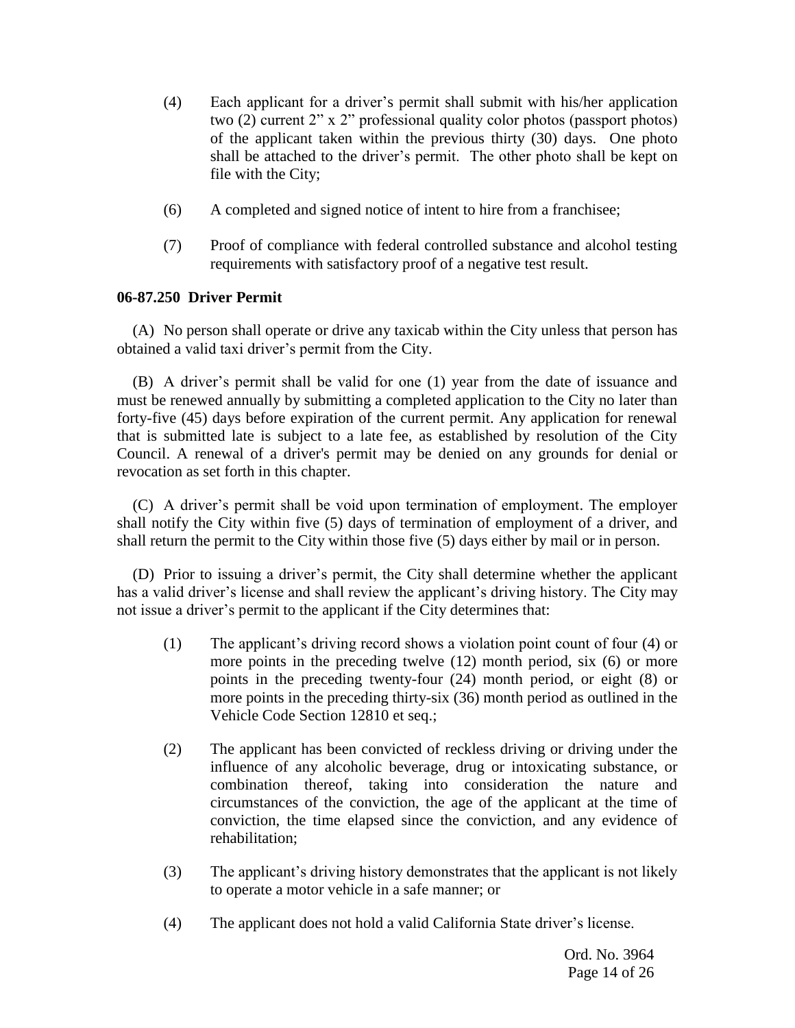- (4) Each applicant for a driver's permit shall submit with his/her application two (2) current 2" x 2" professional quality color photos (passport photos) of the applicant taken within the previous thirty (30) days. One photo shall be attached to the driver's permit. The other photo shall be kept on file with the City;
- (6) A completed and signed notice of intent to hire from a franchisee;
- (7) Proof of compliance with federal controlled substance and alcohol testing requirements with satisfactory proof of a negative test result.

## **06-87.250 Driver Permit**

(A) No person shall operate or drive any taxicab within the City unless that person has obtained a valid taxi driver's permit from the City.

(B) A driver's permit shall be valid for one (1) year from the date of issuance and must be renewed annually by submitting a completed application to the City no later than forty-five (45) days before expiration of the current permit. Any application for renewal that is submitted late is subject to a late fee, as established by resolution of the City Council. A renewal of a driver's permit may be denied on any grounds for denial or revocation as set forth in this chapter.

(C) A driver's permit shall be void upon termination of employment. The employer shall notify the City within five (5) days of termination of employment of a driver, and shall return the permit to the City within those five (5) days either by mail or in person.

(D) Prior to issuing a driver's permit, the City shall determine whether the applicant has a valid driver's license and shall review the applicant's driving history. The City may not issue a driver's permit to the applicant if the City determines that:

- (1) The applicant's driving record shows a violation point count of four (4) or more points in the preceding twelve (12) month period, six (6) or more points in the preceding twenty-four (24) month period, or eight (8) or more points in the preceding thirty-six (36) month period as outlined in the Vehicle Code Section 12810 et seq.;
- (2) The applicant has been convicted of reckless driving or driving under the influence of any alcoholic beverage, drug or intoxicating substance, or combination thereof, taking into consideration the nature and circumstances of the conviction, the age of the applicant at the time of conviction, the time elapsed since the conviction, and any evidence of rehabilitation;
- (3) The applicant's driving history demonstrates that the applicant is not likely to operate a motor vehicle in a safe manner; or
- (4) The applicant does not hold a valid California State driver's license.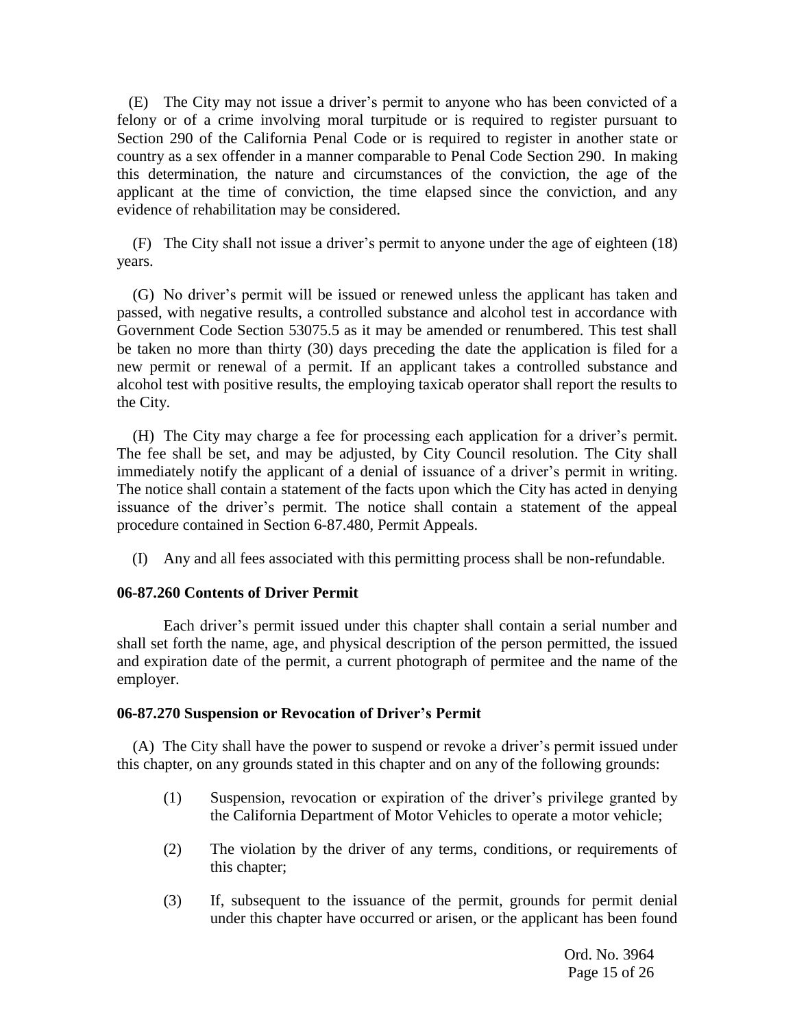(E) The City may not issue a driver's permit to anyone who has been convicted of a felony or of a crime involving moral turpitude or is required to register pursuant to Section 290 of the California Penal Code or is required to register in another state or country as a sex offender in a manner comparable to Penal Code Section 290. In making this determination, the nature and circumstances of the conviction, the age of the applicant at the time of conviction, the time elapsed since the conviction, and any evidence of rehabilitation may be considered.

(F) The City shall not issue a driver's permit to anyone under the age of eighteen (18) years.

(G) No driver's permit will be issued or renewed unless the applicant has taken and passed, with negative results, a controlled substance and alcohol test in accordance with Government Code Section 53075.5 as it may be amended or renumbered. This test shall be taken no more than thirty (30) days preceding the date the application is filed for a new permit or renewal of a permit. If an applicant takes a controlled substance and alcohol test with positive results, the employing taxicab operator shall report the results to the City.

(H) The City may charge a fee for processing each application for a driver's permit. The fee shall be set, and may be adjusted, by City Council resolution. The City shall immediately notify the applicant of a denial of issuance of a driver's permit in writing. The notice shall contain a statement of the facts upon which the City has acted in denying issuance of the driver's permit. The notice shall contain a statement of the appeal procedure contained in Section 6-87.480, Permit Appeals.

(I) Any and all fees associated with this permitting process shall be non-refundable.

## **06-87.260 Contents of Driver Permit**

Each driver's permit issued under this chapter shall contain a serial number and shall set forth the name, age, and physical description of the person permitted, the issued and expiration date of the permit, a current photograph of permitee and the name of the employer.

## **06-87.270 Suspension or Revocation of Driver's Permit**

(A) The City shall have the power to suspend or revoke a driver's permit issued under this chapter, on any grounds stated in this chapter and on any of the following grounds:

- (1) Suspension, revocation or expiration of the driver's privilege granted by the California Department of Motor Vehicles to operate a motor vehicle;
- (2) The violation by the driver of any terms, conditions, or requirements of this chapter;
- (3) If, subsequent to the issuance of the permit, grounds for permit denial under this chapter have occurred or arisen, or the applicant has been found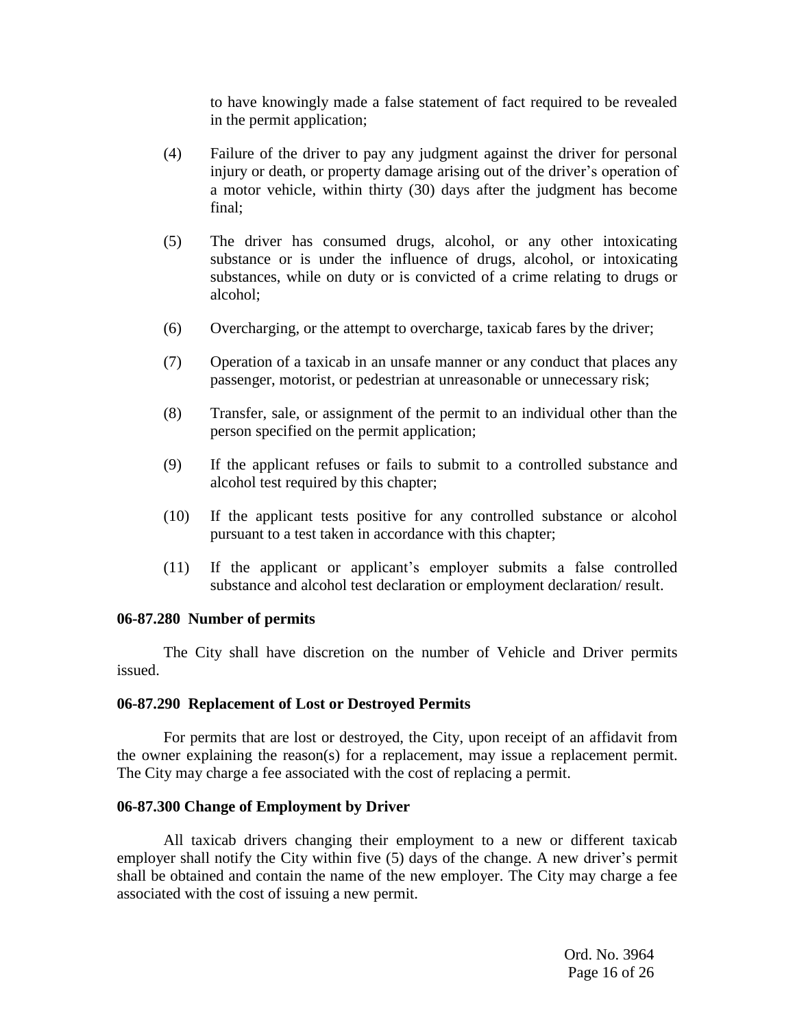to have knowingly made a false statement of fact required to be revealed in the permit application;

- (4) Failure of the driver to pay any judgment against the driver for personal injury or death, or property damage arising out of the driver's operation of a motor vehicle, within thirty (30) days after the judgment has become final;
- (5) The driver has consumed drugs, alcohol, or any other intoxicating substance or is under the influence of drugs, alcohol, or intoxicating substances, while on duty or is convicted of a crime relating to drugs or alcohol;
- (6) Overcharging, or the attempt to overcharge, taxicab fares by the driver;
- (7) Operation of a taxicab in an unsafe manner or any conduct that places any passenger, motorist, or pedestrian at unreasonable or unnecessary risk;
- (8) Transfer, sale, or assignment of the permit to an individual other than the person specified on the permit application;
- (9) If the applicant refuses or fails to submit to a controlled substance and alcohol test required by this chapter;
- (10) If the applicant tests positive for any controlled substance or alcohol pursuant to a test taken in accordance with this chapter;
- (11) If the applicant or applicant's employer submits a false controlled substance and alcohol test declaration or employment declaration/ result.

#### **06-87.280 Number of permits**

The City shall have discretion on the number of Vehicle and Driver permits issued.

#### **06-87.290 Replacement of Lost or Destroyed Permits**

For permits that are lost or destroyed, the City, upon receipt of an affidavit from the owner explaining the reason(s) for a replacement, may issue a replacement permit. The City may charge a fee associated with the cost of replacing a permit.

## **06-87.300 Change of Employment by Driver**

All taxicab drivers changing their employment to a new or different taxicab employer shall notify the City within five (5) days of the change. A new driver's permit shall be obtained and contain the name of the new employer. The City may charge a fee associated with the cost of issuing a new permit.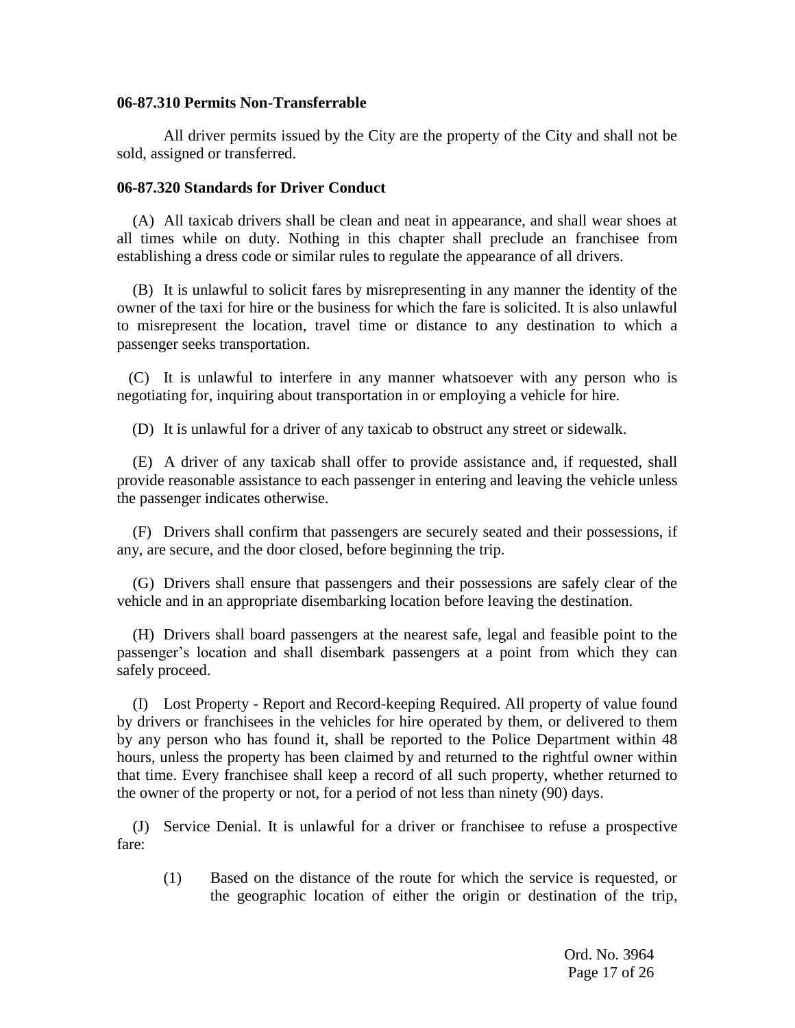#### **06-87.310 Permits Non-Transferrable**

All driver permits issued by the City are the property of the City and shall not be sold, assigned or transferred.

#### **06-87.320 Standards for Driver Conduct**

(A) All taxicab drivers shall be clean and neat in appearance, and shall wear shoes at all times while on duty. Nothing in this chapter shall preclude an franchisee from establishing a dress code or similar rules to regulate the appearance of all drivers.

(B) It is unlawful to solicit fares by misrepresenting in any manner the identity of the owner of the taxi for hire or the business for which the fare is solicited. It is also unlawful to misrepresent the location, travel time or distance to any destination to which a passenger seeks transportation.

(C) It is unlawful to interfere in any manner whatsoever with any person who is negotiating for, inquiring about transportation in or employing a vehicle for hire.

(D) It is unlawful for a driver of any taxicab to obstruct any street or sidewalk.

(E) A driver of any taxicab shall offer to provide assistance and, if requested, shall provide reasonable assistance to each passenger in entering and leaving the vehicle unless the passenger indicates otherwise.

(F) Drivers shall confirm that passengers are securely seated and their possessions, if any, are secure, and the door closed, before beginning the trip.

(G) Drivers shall ensure that passengers and their possessions are safely clear of the vehicle and in an appropriate disembarking location before leaving the destination.

(H) Drivers shall board passengers at the nearest safe, legal and feasible point to the passenger's location and shall disembark passengers at a point from which they can safely proceed.

(I) Lost Property - Report and Record-keeping Required. All property of value found by drivers or franchisees in the vehicles for hire operated by them, or delivered to them by any person who has found it, shall be reported to the Police Department within 48 hours, unless the property has been claimed by and returned to the rightful owner within that time. Every franchisee shall keep a record of all such property, whether returned to the owner of the property or not, for a period of not less than ninety (90) days.

(J) Service Denial. It is unlawful for a driver or franchisee to refuse a prospective fare:

(1) Based on the distance of the route for which the service is requested, or the geographic location of either the origin or destination of the trip,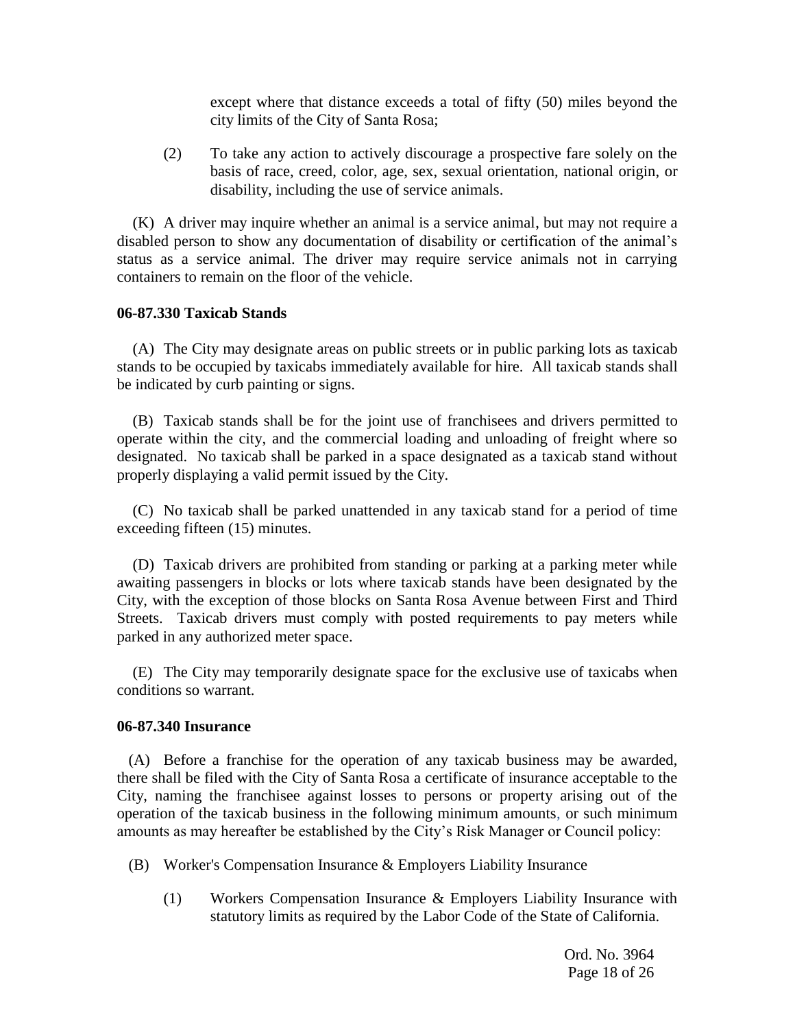except where that distance exceeds a total of fifty (50) miles beyond the city limits of the City of Santa Rosa;

(2) To take any action to actively discourage a prospective fare solely on the basis of race, creed, color, age, sex, sexual orientation, national origin, or disability, including the use of service animals.

(K) A driver may inquire whether an animal is a service animal, but may not require a disabled person to show any documentation of disability or certification of the animal's status as a service animal. The driver may require service animals not in carrying containers to remain on the floor of the vehicle.

#### **06-87.330 Taxicab Stands**

(A) The City may designate areas on public streets or in public parking lots as taxicab stands to be occupied by taxicabs immediately available for hire. All taxicab stands shall be indicated by curb painting or signs.

(B) Taxicab stands shall be for the joint use of franchisees and drivers permitted to operate within the city, and the commercial loading and unloading of freight where so designated. No taxicab shall be parked in a space designated as a taxicab stand without properly displaying a valid permit issued by the City.

(C) No taxicab shall be parked unattended in any taxicab stand for a period of time exceeding fifteen (15) minutes.

(D) Taxicab drivers are prohibited from standing or parking at a parking meter while awaiting passengers in blocks or lots where taxicab stands have been designated by the City, with the exception of those blocks on Santa Rosa Avenue between First and Third Streets. Taxicab drivers must comply with posted requirements to pay meters while parked in any authorized meter space.

(E) The City may temporarily designate space for the exclusive use of taxicabs when conditions so warrant.

#### **06-87.340 Insurance**

(A) Before a franchise for the operation of any taxicab business may be awarded, there shall be filed with the City of Santa Rosa a certificate of insurance acceptable to the City, naming the franchisee against losses to persons or property arising out of the operation of the taxicab business in the following minimum amounts, or such minimum amounts as may hereafter be established by the City's Risk Manager or Council policy:

- (B) Worker's Compensation Insurance & Employers Liability Insurance
	- (1) Workers Compensation Insurance & Employers Liability Insurance with statutory limits as required by the Labor Code of the State of California.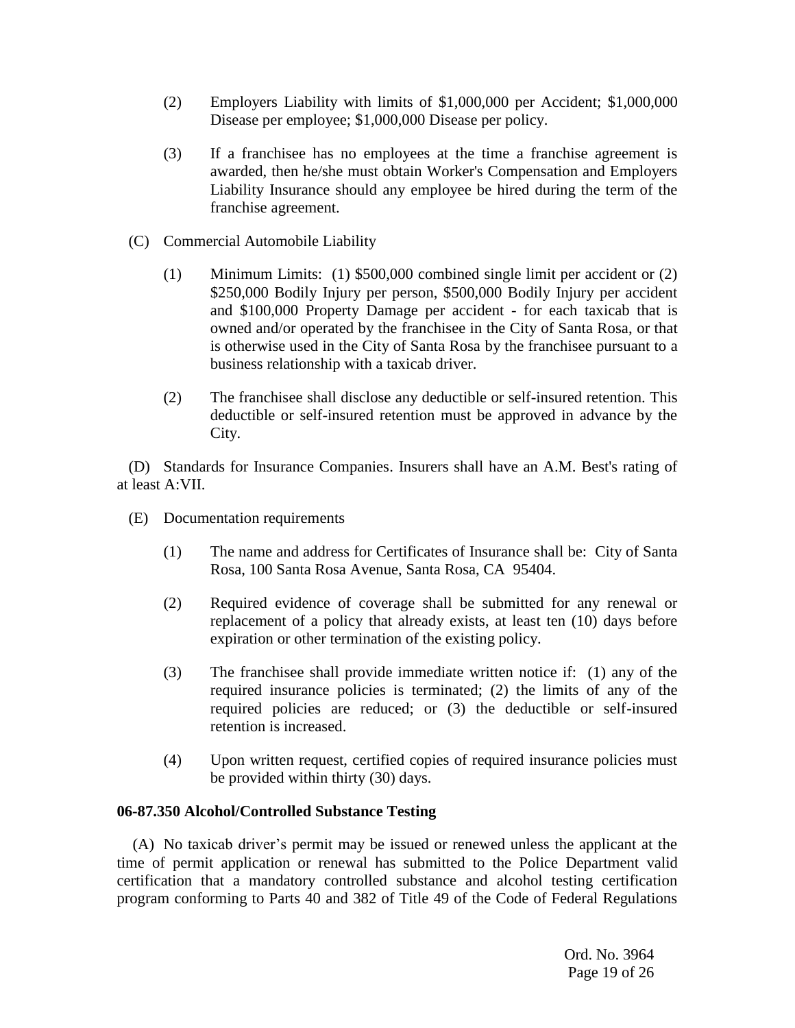- (2) Employers Liability with limits of \$1,000,000 per Accident; \$1,000,000 Disease per employee; \$1,000,000 Disease per policy.
- (3) If a franchisee has no employees at the time a franchise agreement is awarded, then he/she must obtain Worker's Compensation and Employers Liability Insurance should any employee be hired during the term of the franchise agreement.
- (C) Commercial Automobile Liability
	- (1) Minimum Limits: (1) \$500,000 combined single limit per accident or (2) \$250,000 Bodily Injury per person, \$500,000 Bodily Injury per accident and \$100,000 Property Damage per accident - for each taxicab that is owned and/or operated by the franchisee in the City of Santa Rosa, or that is otherwise used in the City of Santa Rosa by the franchisee pursuant to a business relationship with a taxicab driver.
	- (2) The franchisee shall disclose any deductible or self-insured retention. This deductible or self-insured retention must be approved in advance by the City.

(D) Standards for Insurance Companies. Insurers shall have an A.M. Best's rating of at least A:VII.

- (E) Documentation requirements
	- (1) The name and address for Certificates of Insurance shall be: City of Santa Rosa, 100 Santa Rosa Avenue, Santa Rosa, CA 95404.
	- (2) Required evidence of coverage shall be submitted for any renewal or replacement of a policy that already exists, at least ten (10) days before expiration or other termination of the existing policy.
	- (3) The franchisee shall provide immediate written notice if: (1) any of the required insurance policies is terminated; (2) the limits of any of the required policies are reduced; or (3) the deductible or self-insured retention is increased.
	- (4) Upon written request, certified copies of required insurance policies must be provided within thirty (30) days.

## **06-87.350 Alcohol/Controlled Substance Testing**

(A) No taxicab driver's permit may be issued or renewed unless the applicant at the time of permit application or renewal has submitted to the Police Department valid certification that a mandatory controlled substance and alcohol testing certification program conforming to Parts 40 and 382 of Title 49 of the Code of Federal Regulations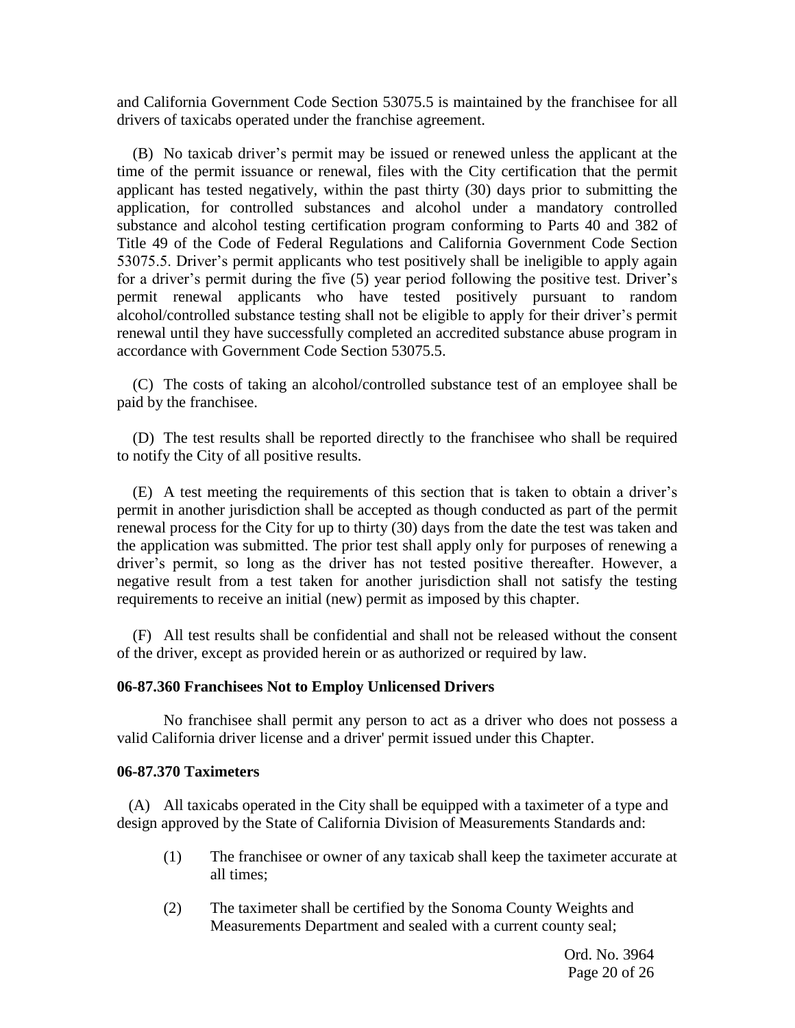and California Government Code Section 53075.5 is maintained by the franchisee for all drivers of taxicabs operated under the franchise agreement.

(B) No taxicab driver's permit may be issued or renewed unless the applicant at the time of the permit issuance or renewal, files with the City certification that the permit applicant has tested negatively, within the past thirty (30) days prior to submitting the application, for controlled substances and alcohol under a mandatory controlled substance and alcohol testing certification program conforming to Parts 40 and 382 of Title 49 of the Code of Federal Regulations and California Government Code Section 53075.5. Driver's permit applicants who test positively shall be ineligible to apply again for a driver's permit during the five (5) year period following the positive test. Driver's permit renewal applicants who have tested positively pursuant to random alcohol/controlled substance testing shall not be eligible to apply for their driver's permit renewal until they have successfully completed an accredited substance abuse program in accordance with Government Code Section 53075.5.

(C) The costs of taking an alcohol/controlled substance test of an employee shall be paid by the franchisee.

(D) The test results shall be reported directly to the franchisee who shall be required to notify the City of all positive results.

(E) A test meeting the requirements of this section that is taken to obtain a driver's permit in another jurisdiction shall be accepted as though conducted as part of the permit renewal process for the City for up to thirty (30) days from the date the test was taken and the application was submitted. The prior test shall apply only for purposes of renewing a driver's permit, so long as the driver has not tested positive thereafter. However, a negative result from a test taken for another jurisdiction shall not satisfy the testing requirements to receive an initial (new) permit as imposed by this chapter.

(F) All test results shall be confidential and shall not be released without the consent of the driver, except as provided herein or as authorized or required by law.

#### **06-87.360 Franchisees Not to Employ Unlicensed Drivers**

No franchisee shall permit any person to act as a driver who does not possess a valid California driver license and a driver' permit issued under this Chapter.

#### **06-87.370 Taximeters**

 (A) All taxicabs operated in the City shall be equipped with a taximeter of a type and design approved by the State of California Division of Measurements Standards and:

- (1) The franchisee or owner of any taxicab shall keep the taximeter accurate at all times;
- (2) The taximeter shall be certified by the Sonoma County Weights and Measurements Department and sealed with a current county seal;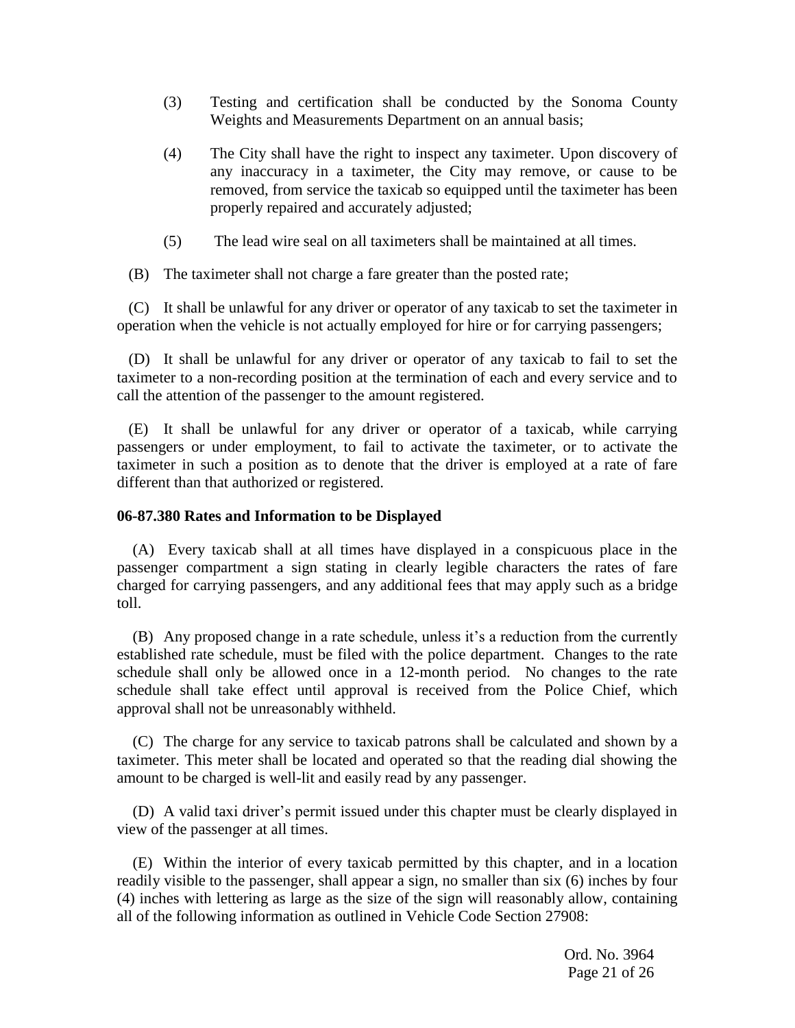- (3) Testing and certification shall be conducted by the Sonoma County Weights and Measurements Department on an annual basis;
- (4) The City shall have the right to inspect any taximeter. Upon discovery of any inaccuracy in a taximeter, the City may remove, or cause to be removed, from service the taxicab so equipped until the taximeter has been properly repaired and accurately adjusted;
- (5) The lead wire seal on all taximeters shall be maintained at all times.
- (B) The taximeter shall not charge a fare greater than the posted rate;

 (C) It shall be unlawful for any driver or operator of any taxicab to set the taximeter in operation when the vehicle is not actually employed for hire or for carrying passengers;

 (D) It shall be unlawful for any driver or operator of any taxicab to fail to set the taximeter to a non-recording position at the termination of each and every service and to call the attention of the passenger to the amount registered.

 (E) It shall be unlawful for any driver or operator of a taxicab, while carrying passengers or under employment, to fail to activate the taximeter, or to activate the taximeter in such a position as to denote that the driver is employed at a rate of fare different than that authorized or registered.

## **06-87.380 Rates and Information to be Displayed**

(A) Every taxicab shall at all times have displayed in a conspicuous place in the passenger compartment a sign stating in clearly legible characters the rates of fare charged for carrying passengers, and any additional fees that may apply such as a bridge toll.

(B) Any proposed change in a rate schedule, unless it's a reduction from the currently established rate schedule, must be filed with the police department. Changes to the rate schedule shall only be allowed once in a 12-month period. No changes to the rate schedule shall take effect until approval is received from the Police Chief, which approval shall not be unreasonably withheld.

(C) The charge for any service to taxicab patrons shall be calculated and shown by a taximeter. This meter shall be located and operated so that the reading dial showing the amount to be charged is well-lit and easily read by any passenger.

(D) A valid taxi driver's permit issued under this chapter must be clearly displayed in view of the passenger at all times.

(E) Within the interior of every taxicab permitted by this chapter, and in a location readily visible to the passenger, shall appear a sign, no smaller than six (6) inches by four (4) inches with lettering as large as the size of the sign will reasonably allow, containing all of the following information as outlined in Vehicle Code Section 27908: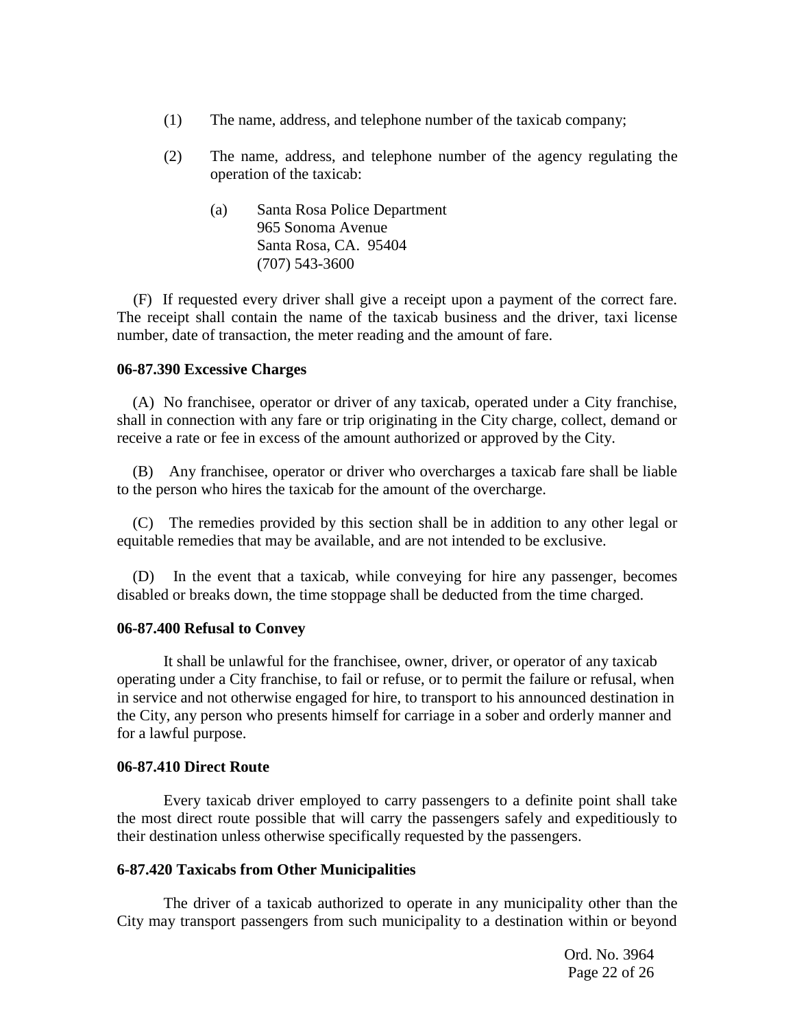- (1) The name, address, and telephone number of the taxicab company;
- (2) The name, address, and telephone number of the agency regulating the operation of the taxicab:
	- (a) Santa Rosa Police Department 965 Sonoma Avenue Santa Rosa, CA. 95404 (707) 543-3600

(F) If requested every driver shall give a receipt upon a payment of the correct fare. The receipt shall contain the name of the taxicab business and the driver, taxi license number, date of transaction, the meter reading and the amount of fare.

#### **06-87.390 Excessive Charges**

(A) No franchisee, operator or driver of any taxicab, operated under a City franchise, shall in connection with any fare or trip originating in the City charge, collect, demand or receive a rate or fee in excess of the amount authorized or approved by the City.

(B) Any franchisee, operator or driver who overcharges a taxicab fare shall be liable to the person who hires the taxicab for the amount of the overcharge.

(C) The remedies provided by this section shall be in addition to any other legal or equitable remedies that may be available, and are not intended to be exclusive.

(D) In the event that a taxicab, while conveying for hire any passenger, becomes disabled or breaks down, the time stoppage shall be deducted from the time charged.

#### **06-87.400 Refusal to Convey**

It shall be unlawful for the franchisee, owner, driver, or operator of any taxicab operating under a City franchise, to fail or refuse, or to permit the failure or refusal, when in service and not otherwise engaged for hire, to transport to his announced destination in the City, any person who presents himself for carriage in a sober and orderly manner and for a lawful purpose.

## **06-87.410 Direct Route**

Every taxicab driver employed to carry passengers to a definite point shall take the most direct route possible that will carry the passengers safely and expeditiously to their destination unless otherwise specifically requested by the passengers.

## **6-87.420 Taxicabs from Other Municipalities**

The driver of a taxicab authorized to operate in any municipality other than the City may transport passengers from such municipality to a destination within or beyond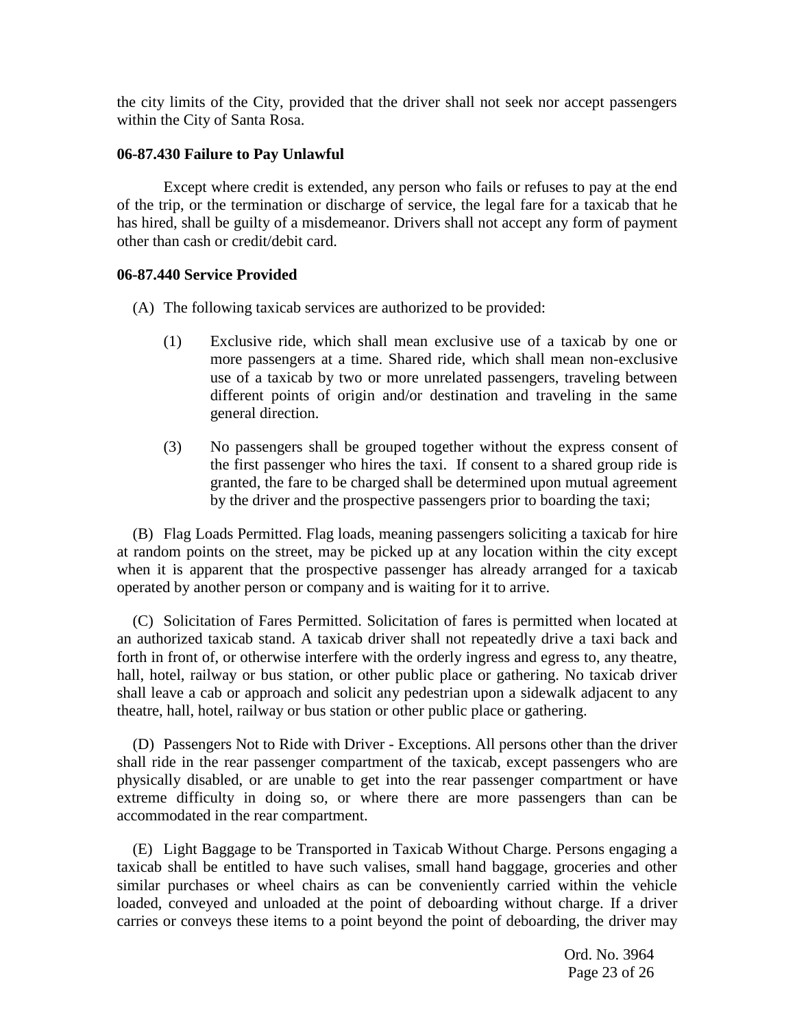the city limits of the City, provided that the driver shall not seek nor accept passengers within the City of Santa Rosa.

## **06-87.430 Failure to Pay Unlawful**

Except where credit is extended, any person who fails or refuses to pay at the end of the trip, or the termination or discharge of service, the legal fare for a taxicab that he has hired, shall be guilty of a misdemeanor. Drivers shall not accept any form of payment other than cash or credit/debit card.

## **06-87.440 Service Provided**

- (A) The following taxicab services are authorized to be provided:
	- (1) Exclusive ride, which shall mean exclusive use of a taxicab by one or more passengers at a time. Shared ride, which shall mean non-exclusive use of a taxicab by two or more unrelated passengers, traveling between different points of origin and/or destination and traveling in the same general direction.
	- (3) No passengers shall be grouped together without the express consent of the first passenger who hires the taxi. If consent to a shared group ride is granted, the fare to be charged shall be determined upon mutual agreement by the driver and the prospective passengers prior to boarding the taxi;

(B) Flag Loads Permitted. Flag loads, meaning passengers soliciting a taxicab for hire at random points on the street, may be picked up at any location within the city except when it is apparent that the prospective passenger has already arranged for a taxicab operated by another person or company and is waiting for it to arrive.

(C) Solicitation of Fares Permitted. Solicitation of fares is permitted when located at an authorized taxicab stand. A taxicab driver shall not repeatedly drive a taxi back and forth in front of, or otherwise interfere with the orderly ingress and egress to, any theatre, hall, hotel, railway or bus station, or other public place or gathering. No taxicab driver shall leave a cab or approach and solicit any pedestrian upon a sidewalk adjacent to any theatre, hall, hotel, railway or bus station or other public place or gathering.

(D) Passengers Not to Ride with Driver - Exceptions. All persons other than the driver shall ride in the rear passenger compartment of the taxicab, except passengers who are physically disabled, or are unable to get into the rear passenger compartment or have extreme difficulty in doing so, or where there are more passengers than can be accommodated in the rear compartment.

(E) Light Baggage to be Transported in Taxicab Without Charge. Persons engaging a taxicab shall be entitled to have such valises, small hand baggage, groceries and other similar purchases or wheel chairs as can be conveniently carried within the vehicle loaded, conveyed and unloaded at the point of deboarding without charge. If a driver carries or conveys these items to a point beyond the point of deboarding, the driver may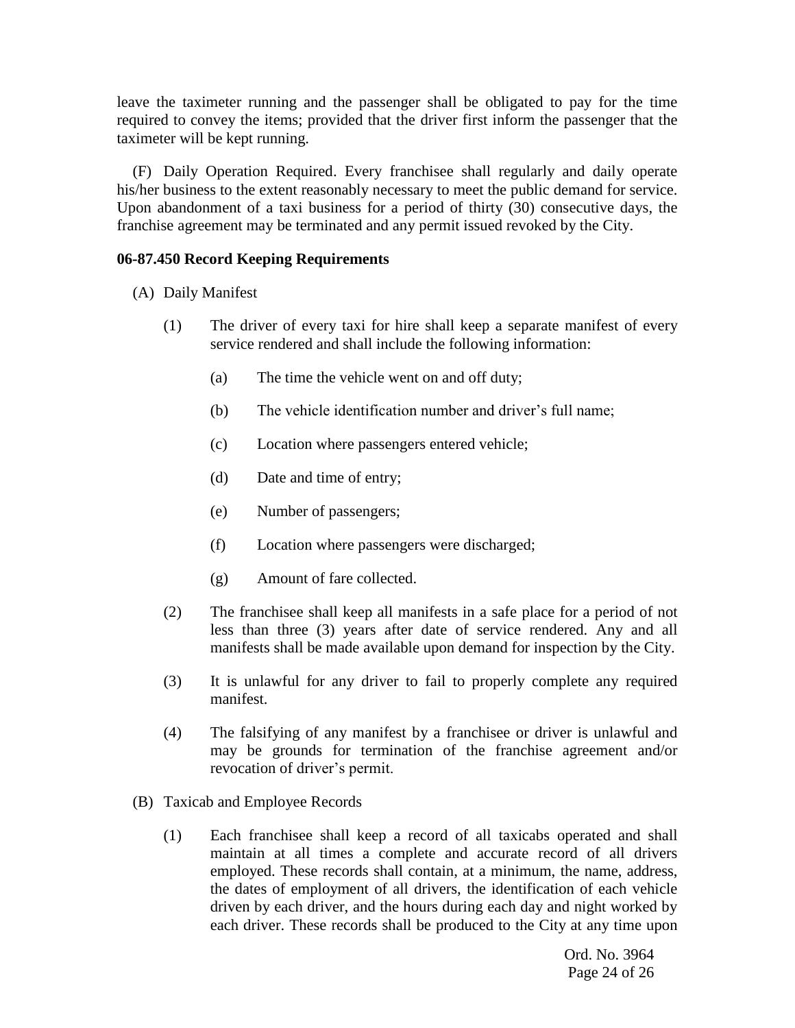leave the taximeter running and the passenger shall be obligated to pay for the time required to convey the items; provided that the driver first inform the passenger that the taximeter will be kept running.

(F) Daily Operation Required. Every franchisee shall regularly and daily operate his/her business to the extent reasonably necessary to meet the public demand for service. Upon abandonment of a taxi business for a period of thirty (30) consecutive days, the franchise agreement may be terminated and any permit issued revoked by the City.

## **06-87.450 Record Keeping Requirements**

- (A) Daily Manifest
	- (1) The driver of every taxi for hire shall keep a separate manifest of every service rendered and shall include the following information:
		- (a) The time the vehicle went on and off duty;
		- (b) The vehicle identification number and driver's full name;
		- (c) Location where passengers entered vehicle;
		- (d) Date and time of entry;
		- (e) Number of passengers;
		- (f) Location where passengers were discharged;
		- (g) Amount of fare collected.
	- (2) The franchisee shall keep all manifests in a safe place for a period of not less than three (3) years after date of service rendered. Any and all manifests shall be made available upon demand for inspection by the City.
	- (3) It is unlawful for any driver to fail to properly complete any required manifest.
	- (4) The falsifying of any manifest by a franchisee or driver is unlawful and may be grounds for termination of the franchise agreement and/or revocation of driver's permit.
- (B) Taxicab and Employee Records
	- (1) Each franchisee shall keep a record of all taxicabs operated and shall maintain at all times a complete and accurate record of all drivers employed. These records shall contain, at a minimum, the name, address, the dates of employment of all drivers, the identification of each vehicle driven by each driver, and the hours during each day and night worked by each driver. These records shall be produced to the City at any time upon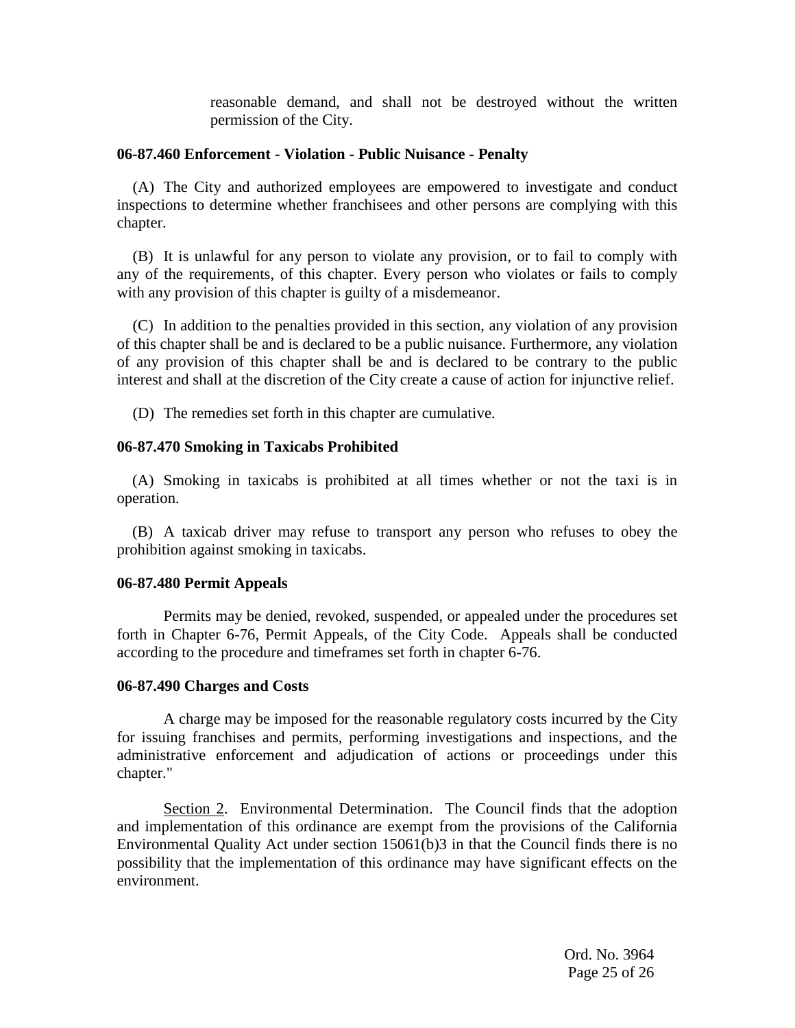reasonable demand, and shall not be destroyed without the written permission of the City.

#### **06-87.460 Enforcement - Violation - Public Nuisance - Penalty**

(A) The City and authorized employees are empowered to investigate and conduct inspections to determine whether franchisees and other persons are complying with this chapter.

(B) It is unlawful for any person to violate any provision, or to fail to comply with any of the requirements, of this chapter. Every person who violates or fails to comply with any provision of this chapter is guilty of a misdemeanor.

(C) In addition to the penalties provided in this section, any violation of any provision of this chapter shall be and is declared to be a public nuisance. Furthermore, any violation of any provision of this chapter shall be and is declared to be contrary to the public interest and shall at the discretion of the City create a cause of action for injunctive relief.

(D) The remedies set forth in this chapter are cumulative.

## **06-87.470 Smoking in Taxicabs Prohibited**

 (A) Smoking in taxicabs is prohibited at all times whether or not the taxi is in operation.

 (B) A taxicab driver may refuse to transport any person who refuses to obey the prohibition against smoking in taxicabs.

## **06-87.480 Permit Appeals**

Permits may be denied, revoked, suspended, or appealed under the procedures set forth in Chapter 6-76, Permit Appeals, of the City Code. Appeals shall be conducted according to the procedure and timeframes set forth in chapter 6-76.

## **06-87.490 Charges and Costs**

A charge may be imposed for the reasonable regulatory costs incurred by the City for issuing franchises and permits, performing investigations and inspections, and the administrative enforcement and adjudication of actions or proceedings under this chapter."

Section 2. Environmental Determination. The Council finds that the adoption and implementation of this ordinance are exempt from the provisions of the California Environmental Quality Act under section 15061(b)3 in that the Council finds there is no possibility that the implementation of this ordinance may have significant effects on the environment.